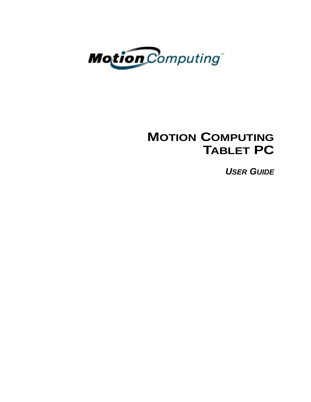

# **MOTION COMPUTING TABLET PC**

*USER GUIDE*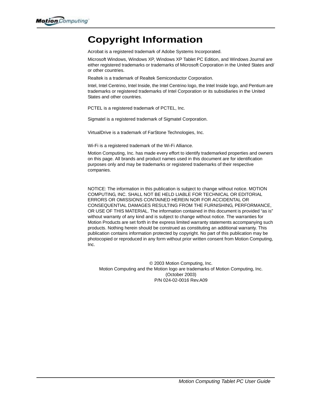# **Copyright Information**

Acrobat is a registered trademark of Adobe Systems Incorporated.

Microsoft Windows, Windows XP, Windows XP Tablet PC Edition, and Windows Journal are either registered trademarks or trademarks of Microsoft Corporation in the United States and/ or other countries.

Realtek is a trademark of Realtek Semiconductor Corporation.

Intel, Intel Centrino, Intel Inside, the Intel Centrino logo, the Intel Inside logo, and Pentium are trademarks or registered trademarks of Intel Corporation or its subsidiaries in the United States and other countries.

PCTEL is a registered trademark of PCTEL, Inc.

Sigmatel is a registered trademark of Sigmatel Corporation.

VirtualDrive is a trademark of FarStone Technologies, Inc.

Wi-Fi is a registered trademark of the Wi-Fi Alliance.

Motion Computing, Inc. has made every effort to identify trademarked properties and owners on this page. All brands and product names used in this document are for identification purposes only and may be trademarks or registered trademarks of their respective companies.

NOTICE: The information in this publication is subject to change without notice. MOTION COMPUTING, INC. SHALL NOT BE HELD LIABLE FOR TECHNICAL OR EDITORIAL ERRORS OR OMISSIONS CONTAINED HEREIN NOR FOR ACCIDENTAL OR CONSEQUENTIAL DAMAGES RESULTING FROM THE FURNISHING, PERFORMANCE, OR USE OF THIS MATERIAL. The information contained in this document is provided "as is" without warranty of any kind and is subject to change without notice. The warranties for Motion Products are set forth in the express limited warranty statements accompanying such products. Nothing herein should be construed as constituting an additional warranty. This publication contains information protected by copyright. No part of this publication may be photocopied or reproduced in any form without prior written consent from Motion Computing, Inc.

© 2003 Motion Computing, Inc. Motion Computing and the Motion logo are trademarks of Motion Computing, Inc. (October 2003) P/N 024-02-0016 Rev.A09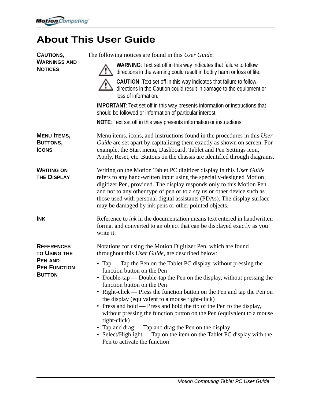# **About This User Guide**

| <b>CAUTIONS,</b>                                       | The following notices are found in this User Guide:                                                                                                                                                                                                                                                                                                                                                                                                                                                                                                                                                                                                                          |  |  |
|--------------------------------------------------------|------------------------------------------------------------------------------------------------------------------------------------------------------------------------------------------------------------------------------------------------------------------------------------------------------------------------------------------------------------------------------------------------------------------------------------------------------------------------------------------------------------------------------------------------------------------------------------------------------------------------------------------------------------------------------|--|--|
| <b>WARNINGS AND</b><br><b>NOTICES</b>                  | WARNING: Text set off in this way indicates that failure to follow<br>directions in the warning could result in bodily harm or loss of life.                                                                                                                                                                                                                                                                                                                                                                                                                                                                                                                                 |  |  |
|                                                        | <b>CAUTION:</b> Text set off in this way indicates that failure to follow<br>directions in the Caution could result in damage to the equipment or<br>loss of information.                                                                                                                                                                                                                                                                                                                                                                                                                                                                                                    |  |  |
|                                                        | <b>IMPORTANT:</b> Text set off in this way presents information or instructions that<br>should be followed or information of particular interest.                                                                                                                                                                                                                                                                                                                                                                                                                                                                                                                            |  |  |
|                                                        | <b>NOTE:</b> Text set off in this way presents information or instructions.                                                                                                                                                                                                                                                                                                                                                                                                                                                                                                                                                                                                  |  |  |
| <b>MENU ITEMS,</b><br>BUTTONS,<br><b>ICONS</b>         | Menu items, icons, and instructions found in the procedures in this User<br>Guide are set apart by capitalizing them exactly as shown on screen. For<br>example, the Start menu, Dashboard, Tablet and Pen Settings icon,<br>Apply, Reset, etc. Buttons on the chassis are identified through diagrams.                                                                                                                                                                                                                                                                                                                                                                      |  |  |
| <b>WRITING ON</b><br><b>THE DISPLAY</b>                | Writing on the Motion Tablet PC digitizer display in this User Guide<br>refers to any hand-written input using the specially-designed Motion<br>digitizer Pen, provided. The display responds only to this Motion Pen<br>and not to any other type of pen or to a stylus or other device such as<br>those used with personal digital assistants (PDAs). The display surface<br>may be damaged by ink pens or other pointed objects.                                                                                                                                                                                                                                          |  |  |
| <b>INK</b>                                             | Reference to <i>ink</i> in the documentation means text entered in handwritten<br>format and converted to an object that can be displayed exactly as you<br>write it.                                                                                                                                                                                                                                                                                                                                                                                                                                                                                                        |  |  |
| <b>REFERENCES</b><br><b>TO USING THE</b>               | Notations for using the Motion Digitizer Pen, which are found<br>throughout this User Guide, are described below:                                                                                                                                                                                                                                                                                                                                                                                                                                                                                                                                                            |  |  |
| <b>PEN AND</b><br><b>PEN FUNCTION</b><br><b>BUTTON</b> | • Tap $-$ Tap the Pen on the Tablet PC display, without pressing the<br>function button on the Pen<br>• Double-tap — Double-tap the Pen on the display, without pressing the<br>function button on the Pen<br>• Right-click — Press the function button on the Pen and tap the Pen on<br>the display (equivalent to a mouse right-click)<br>• Press and hold — Press and hold the tip of the Pen to the display,<br>without pressing the function button on the Pen (equivalent to a mouse<br>right-click)<br>• Tap and drag — Tap and drag the Pen on the display<br>• Select/Highlight — Tap on the item on the Tablet PC display with the<br>Pen to activate the function |  |  |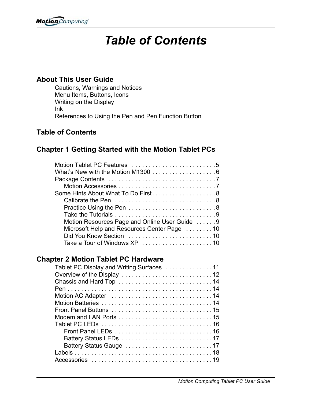# *Table of Contents*

# **About This User Guide**

Cautions, Warnings and Notices Menu Items, Buttons, Icons Writing on the Display Ink References to Using the Pen and Pen Function Button

# **Table of Contents**

# **Chapter 1 Getting Started with the Motion Tablet PCs**

| Motion Tablet PC Features 5                                                  |  |
|------------------------------------------------------------------------------|--|
| What's New with the Motion M1300 $\ldots \ldots \ldots \ldots \ldots \ldots$ |  |
|                                                                              |  |
|                                                                              |  |
| Some Hints About What To Do First8                                           |  |
|                                                                              |  |
|                                                                              |  |
|                                                                              |  |
| Motion Resources Page and Online User Guide 9                                |  |
| Microsoft Help and Resources Center Page 10                                  |  |
|                                                                              |  |
|                                                                              |  |
|                                                                              |  |

# **Chapter 2 Motion Tablet PC Hardware**

| Tablet PC Display and Writing Surfaces 11 |
|-------------------------------------------|
|                                           |
|                                           |
|                                           |
|                                           |
|                                           |
|                                           |
|                                           |
|                                           |
|                                           |
|                                           |
|                                           |
|                                           |
|                                           |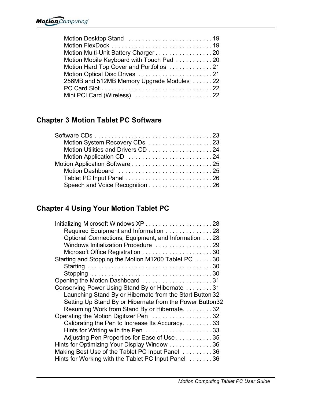# **Chapter 3 Motion Tablet PC Software**

| Motion System Recovery CDs 23 |  |
|-------------------------------|--|
|                               |  |
|                               |  |
|                               |  |
| Motion Dashboard 25           |  |
|                               |  |
|                               |  |
|                               |  |

# **Chapter 4 Using Your Motion Tablet PC**

| Required Equipment and Information 28                    |
|----------------------------------------------------------|
| Optional Connections, Equipment, and Information 28      |
| Windows Initialization Procedure 29                      |
|                                                          |
| Starting and Stopping the Motion M1200 Tablet PC 30      |
|                                                          |
|                                                          |
|                                                          |
| Conserving Power Using Stand By or Hibernate 31          |
| Launching Stand By or Hibernate from the Start Button 32 |
| Setting Up Stand By or Hibernate from the Power Button32 |
| Resuming Work from Stand By or Hibernate. 32             |
| Operating the Motion Digitizer Pen 32                    |
| Calibrating the Pen to Increase Its Accuracy. 33         |
|                                                          |
| Adjusting Pen Properties for Ease of Use 35              |
| Hints for Optimizing Your Display Window 36              |
| Making Best Use of the Tablet PC Input Panel 36          |
| Hints for Working with the Tablet PC Input Panel 36      |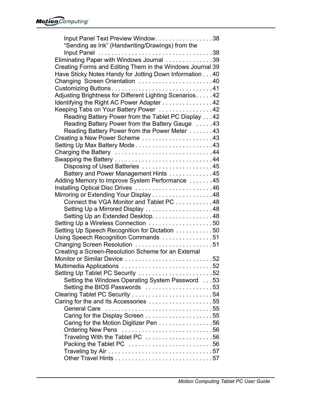| Input Panel Text Preview Window38                         |  |
|-----------------------------------------------------------|--|
| "Sending as Ink" (Handwriting/Drawings) from the          |  |
|                                                           |  |
| Eliminating Paper with Windows Journal 39                 |  |
| Creating Forms and Editing Them in the Windows Journal 39 |  |
| Have Sticky Notes Handy for Jotting Down Information 40   |  |
| Changing Screen Orientation 40                            |  |
|                                                           |  |
| Adjusting Brightness for Different Lighting Scenarios42   |  |
| Identifying the Right AC Power Adapter 42                 |  |
| Keeping Tabs on Your Battery Power 42                     |  |
| Reading Battery Power from the Tablet PC Display 42       |  |
| Reading Battery Power from the Battery Gauge 43           |  |
| Reading Battery Power from the Power Meter 43             |  |
| Creating a New Power Scheme 43                            |  |
| Setting Up Max Battery Mode43                             |  |
| Charging the Battery 44                                   |  |
|                                                           |  |
| Disposing of Used Batteries 45                            |  |
| Battery and Power Management Hints 45                     |  |
| Adding Memory to Improve System Performance 45            |  |
|                                                           |  |
| Mirroring or Extending Your Display 48                    |  |
| Connect the VGA Monitor and Tablet PC 48                  |  |
| Setting Up a Mirrored Display 48                          |  |
| Setting Up an Extended Desktop. 48                        |  |
| Setting Up a Wireless Connection 50                       |  |
| Setting Up Speech Recognition for Dictation 50            |  |
| Using Speech Recognition Commands 51                      |  |
| Changing Screen Resolution 51                             |  |
| Creating a Screen-Resolution Scheme for an External       |  |
| Monitor or Similar Device 52                              |  |
|                                                           |  |
| Setting Up Tablet PC Security 52                          |  |
| Setting the Windows Operating System Password 53          |  |
| Setting the BIOS Passwords 53                             |  |
| Clearing Tablet PC Security 54                            |  |
| Caring for the and Its Accessories 55                     |  |
|                                                           |  |
|                                                           |  |
| Caring for the Motion Digitizer Pen 56                    |  |
| Ordering New Pens 56                                      |  |
| Traveling With the Tablet PC 56                           |  |
| Packing the Tablet PC 56                                  |  |
|                                                           |  |
|                                                           |  |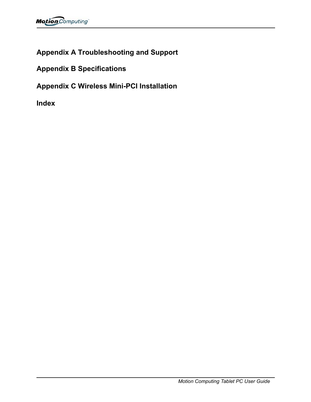# **Appendix A Troubleshooting and Support**

**Appendix B Specifications**

**Appendix C Wireless Mini-PCI Installation**

**Index**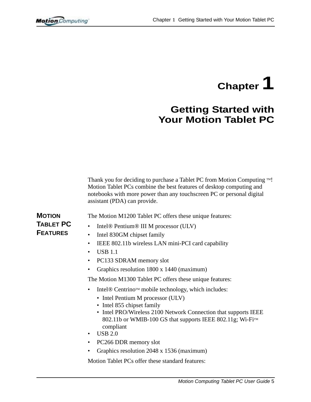# **Chapter 1**

# **Getting Started with Your Motion Tablet PC**

Thank you for deciding to purchase a Tablet PC from Motion Computing  $TM!$ Motion Tablet PCs combine the best features of desktop computing and notebooks with more power than any touchscreen PC or personal digital assistant (PDA) can provide.

**MOTION TABLET PC FEATURES**

- The Motion M1200 Tablet PC offers these unique features:
- Intel*®* Pentium*®* III M processor (ULV)
- Intel 830GM chipset family
- IEEE 802.11b wireless LAN mini-PCI card capability
- USB 1.1
- PC133 SDRAM memory slot
- Graphics resolution 1800 x 1440 (maximum)

The Motion M1300 Tablet PC offers these unique features:

- Intel<sup>®</sup> Centrino™ mobile technology, which includes:
	- Intel Pentium M processor (ULV)
	- Intel 855 chipset family
	- Intel PRO/Wireless 2100 Network Connection that supports IEEE 802.11b or WMIB-100 GS that supports IEEE 802.11g; Wi-Fi<sup>TM</sup> compliant
- USB 2.0
- PC266 DDR memory slot
- Graphics resolution 2048 x 1536 (maximum)

Motion Tablet PCs offer these standard features: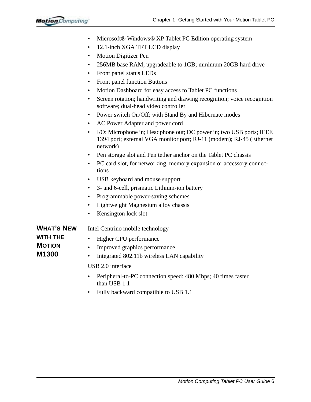|                   | 12.1-inch XGA TFT LCD display<br>$\bullet$                                                                                                                   |
|-------------------|--------------------------------------------------------------------------------------------------------------------------------------------------------------|
|                   | Motion Digitizer Pen<br>$\bullet$                                                                                                                            |
|                   | 256MB base RAM, upgradeable to 1GB; minimum 20GB hard drive<br>٠                                                                                             |
|                   | Front panel status LEDs<br>$\bullet$                                                                                                                         |
|                   | Front panel function Buttons<br>٠                                                                                                                            |
|                   | Motion Dashboard for easy access to Tablet PC functions<br>٠                                                                                                 |
|                   | Screen rotation; handwriting and drawing recognition; voice recognition<br>٠<br>software; dual-head video controller                                         |
|                   | Power switch On/Off; with Stand By and Hibernate modes<br>$\bullet$                                                                                          |
|                   | AC Power Adapter and power cord<br>٠                                                                                                                         |
|                   | I/O: Microphone in; Headphone out; DC power in; two USB ports; IEEE<br>٠<br>1394 port; external VGA monitor port; RJ-11 (modem); RJ-45 (Ethernet<br>network) |
|                   | Pen storage slot and Pen tether anchor on the Tablet PC chassis<br>$\bullet$                                                                                 |
|                   | PC card slot, for networking, memory expansion or accessory connec-<br>$\bullet$<br>tions                                                                    |
|                   | USB keyboard and mouse support<br>$\bullet$                                                                                                                  |
|                   | 3- and 6-cell, prismatic Lithium-ion battery<br>٠                                                                                                            |
|                   | Programmable power-saving schemes<br>٠                                                                                                                       |
|                   | Lightweight Magnesium alloy chassis<br>٠                                                                                                                     |
|                   | Kensington lock slot<br>٠                                                                                                                                    |
| <b>WHAT'S NEW</b> | Intel Centrino mobile technology                                                                                                                             |
| <b>WITH THE</b>   | Higher CPU performance<br>$\bullet$                                                                                                                          |
| <b>MOTION</b>     | Improved graphics performance<br>$\bullet$                                                                                                                   |
| M1300             | Integrated 802.11b wireless LAN capability<br>٠                                                                                                              |
|                   | USB 2.0 interface                                                                                                                                            |
|                   | Peripheral-to-PC connection speed: 480 Mbps; 40 times faster<br>٠<br>than USB 1.1                                                                            |

• Microsoft*®* Windows*®* XP Tablet PC Edition operating system

• Fully backward compatible to USB 1.1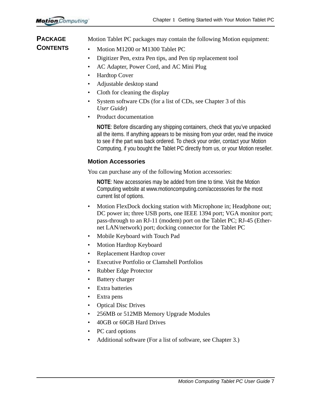Motion Tablet PC packages may contain the following Motion equipment:

- **PACKAGE CONTENTS**
- Motion M1200 or M1300 Tablet PC
- Digitizer Pen, extra Pen tips, and Pen tip replacement tool
- AC Adapter, Power Cord, and AC Mini Plug
- Hardtop Cover
- Adjustable desktop stand
- Cloth for cleaning the display
- System software CDs (for a list of CDs, see Chapter 3 of this *User Guide*)
- Product documentation

**NOTE**: Before discarding any shipping containers, check that you've unpacked all the items. If anything appears to be missing from your order, read the invoice to see if the part was back ordered. To check your order, contact your Motion Computing, if you bought the Tablet PC directly from us, or your Motion reseller.

# **Motion Accessories**

You can purchase any of the following Motion accessories:

**NOTE**: New accessories may be added from time to time. Visit the Motion Computing website at www.motioncomputing.com/accessories for the most current list of options.

- Motion FlexDock docking station with Microphone in; Headphone out; DC power in; three USB ports, one IEEE 1394 port; VGA monitor port; pass-through to an RJ-11 (modem) port on the Tablet PC; RJ-45 (Ethernet LAN/network) port; docking connector for the Tablet PC
- Mobile Keyboard with Touch Pad
- Motion Hardtop Keyboard
- Replacement Hardtop cover
- Executive Portfolio or Clamshell Portfolios
- Rubber Edge Protector
- Battery charger
- Extra batteries
- Extra pens
- Optical Disc Drives
- 256MB or 512MB Memory Upgrade Modules
- 40GB or 60GB Hard Drives
- PC card options
- Additional software (For a list of software, see Chapter 3.)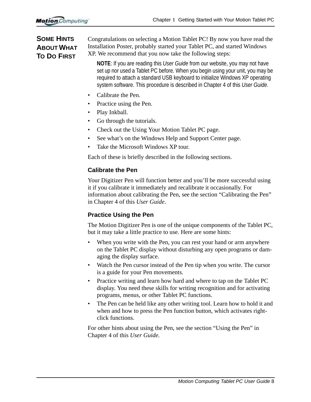# **SOME HINTS ABOUT WHAT TO DO FIRST**

Congratulations on selecting a Motion Tablet PC! By now you have read the Installation Poster, probably started your Tablet PC, and started Windows XP. We recommend that you now take the following steps:

**NOTE**: If you are reading this *User Guide* from our website, you may not have set up nor used a Tablet PC before. When you begin using your unit, you may be required to attach a standard USB keyboard to initialize Windows XP operating system software. This procedure is described in Chapter 4 of this *User Guide*.

- Calibrate the Pen.
- Practice using the Pen.
- Play Inkball.
- Go through the tutorials.
- Check out the Using Your Motion Tablet PC page.
- See what's on the Windows Help and Support Center page.
- Take the Microsoft Windows XP tour.

Each of these is briefly described in the following sections.

# **Calibrate the Pen**

Your Digitizer Pen will function better and you'll be more successful using it if you calibrate it immediately and recalibrate it occasionally. For information about calibrating the Pen, see the section "Calibrating the Pen" in Chapter 4 of this *User Guide*.

# **Practice Using the Pen**

The Motion Digitizer Pen is one of the unique components of the Tablet PC, but it may take a little practice to use. Here are some hints:

- When you write with the Pen, you can rest your hand or arm anywhere on the Tablet PC display without disturbing any open programs or damaging the display surface.
- Watch the Pen cursor instead of the Pen tip when you write. The cursor is a guide for your Pen movements.
- Practice writing and learn how hard and where to tap on the Tablet PC display. You need these skills for writing recognition and for activating programs, menus, or other Tablet PC functions.
- The Pen can be held like any other writing tool. Learn how to hold it and when and how to press the Pen function button, which activates rightclick functions.

For other hints about using the Pen, see the section "Using the Pen" in Chapter 4 of this *User Guide.*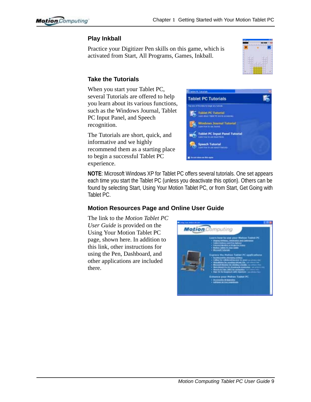# **Play Inkball**

Practice your Digitizer Pen skills on this game, which is activated from Start, All Programs, Games, Inkball.



# **Take the Tutorials**

When you start your Tablet PC, several Tutorials are offered to help you learn about its various functions, such as the Windows Journal, Tablet PC Input Panel, and Speech recognition.

The Tutorials are short, quick, and informative and we highly recommend them as a starting place to begin a successful Tablet PC experience.



**NOTE**: Microsoft Windows XP for Tablet PC offers several tutorials. One set appears each time you start the Tablet PC (unless you deactivate this option). Others can be found by selecting Start, Using Your Motion Tablet PC, or from Start, Get Going with Tablet PC.

# **Motion Resources Page and Online User Guide**

The link to the *Motion Tablet PC User Guide* is provided on the Using Your Motion Tablet PC page, shown here. In addition to this link, other instructions for using the Pen, Dashboard, and other applications are included there.

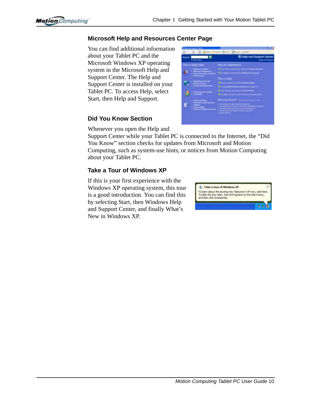# **Microsoft Help and Resources Center Page**

You can find additional information about your Tablet PC and the Microsoft Windows XP operating system in the Microsoft Help and Support Center. The Help and Support Center is installed on your Tablet PC. To access Help, select Start, then Help and Support.

#### **Did You Know Section**



Whenever you open the Help and

Support Center while your Tablet PC is connected to the Internet, the "Did You Know" section checks for updates from Microsoft and Motion Computing, such as system-use hints, or notices from Motion Computing about your Tablet PC.

# **Take a Tour of Windows XP**

If this is your first experience with the Windows XP operating system, this tour is a good introduction. You can find this by selecting Start, then Windows Help and Support Center, and finally What's New in Windows XP.

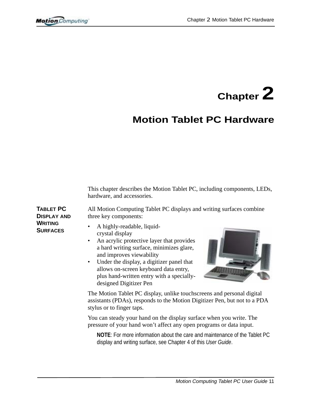

# **Motion Tablet PC Hardware**

This chapter describes the Motion Tablet PC, including components, LEDs, hardware, and accessories.

**TABLET PC DISPLAY AND WRITING SURFACES**

All Motion Computing Tablet PC displays and writing surfaces combine three key components:

- A highly-readable, liquidcrystal display
- An acrylic protective layer that provides a hard writing surface, minimizes glare, and improves viewability
- Under the display, a digitizer panel that allows on-screen keyboard data entry, plus hand-written entry with a speciallydesigned Digitizer Pen



The Motion Tablet PC display, unlike touchscreens and personal digital assistants (PDAs), responds to the Motion Digitizer Pen, but not to a PDA stylus or to finger taps.

You can steady your hand on the display surface when you write. The pressure of your hand won't affect any open programs or data input.

**NOTE**: For more information about the care and maintenance of the Tablet PC display and writing surface, see Chapter 4 of this *User Guide*.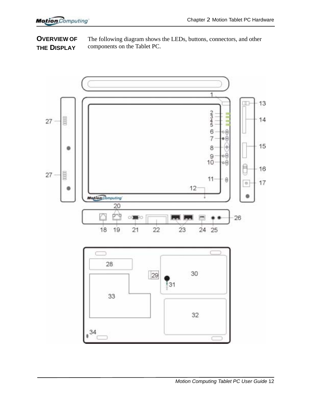**OVERVIEW OF THE DISPLAY** The following diagram shows the LEDs, buttons, connectors, and other components on the Tablet PC.

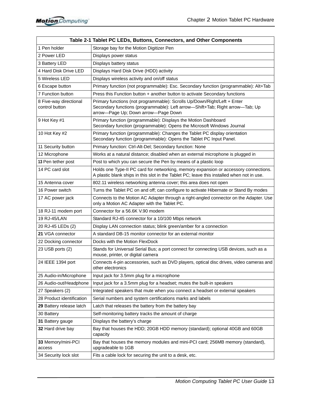|                                          | Table 2-1 Tablet PC LEDs, Buttons, Connectors, and Other Components                                                                                                                              |  |
|------------------------------------------|--------------------------------------------------------------------------------------------------------------------------------------------------------------------------------------------------|--|
| 1 Pen holder                             | Storage bay for the Motion Digitizer Pen                                                                                                                                                         |  |
| 2 Power LED                              | Displays power status                                                                                                                                                                            |  |
| 3 Battery LED                            | Displays battery status                                                                                                                                                                          |  |
| 4 Hard Disk Drive LED                    | Displays Hard Disk Drive (HDD) activity                                                                                                                                                          |  |
| 5 Wireless LED                           | Displays wireless activity and on/off status                                                                                                                                                     |  |
| 6 Escape button                          | Primary function (not programmable): Esc. Secondary function (programmable): Alt+Tab                                                                                                             |  |
| 7 Function button                        | Press this Function button + another button to activate Secondary functions                                                                                                                      |  |
| 8 Five-way directional<br>control button | Primary functions (not programmable): Scrolls Up/Down/Right/Left + Enter<br>Secondary functions (programmable): Left arrow-Shift+Tab; Right arrow-Tab; Up<br>arrow-Page Up; Down arrow-Page Down |  |
| 9 Hot Key #1                             | Primary function (programmable): Displays the Motion Dashboard<br>Secondary function (programmable): Opens the Microsoft Windows Journal                                                         |  |
| 10 Hot Key #2                            | Primary function (programmable): Changes the Tablet PC display orientation<br>Secondary function (programmable): Opens the Tablet PC Input Panel.                                                |  |
| 11 Security button                       | Primary function: Ctrl-Alt-Del; Secondary function: None                                                                                                                                         |  |
| 12 Microphone                            | Works at a natural distance; disabled when an external microphone is plugged in                                                                                                                  |  |
| 13 Pen tether post                       | Post to which you can secure the Pen by means of a plastic loop                                                                                                                                  |  |
| 14 PC card slot                          | Holds one Type-II PC card for networking, memory expansion or accessory connections.<br>A plastic blank ships in this slot in the Tablet PC; leave this installed when not in use.               |  |
| 15 Antenna cover                         | 802.11 wireless networking antenna cover; this area does not open                                                                                                                                |  |
| 16 Power switch                          | Turns the Tablet PC on and off; can configure to activate Hibernate or Stand By modes                                                                                                            |  |
| 17 AC power jack                         | Connects to the Motion AC Adapter through a right-angled connector on the Adapter. Use<br>only a Motion AC Adapter with the Tablet PC.                                                           |  |
| 18 RJ-11 modem port                      | Connector for a 56.6K V.90 modem                                                                                                                                                                 |  |
| 19 RJ-45/LAN                             | Standard RJ-45 connector for a 10/100 Mbps network                                                                                                                                               |  |
| 20 RJ-45 LEDs (2)                        | Display LAN connection status; blink green/amber for a connection                                                                                                                                |  |
| 21 VGA connector                         | A standard DB-15 monitor connector for an external monitor                                                                                                                                       |  |
| 22 Docking connector                     | Docks with the Motion FlexDock                                                                                                                                                                   |  |
| 23 USB ports (2)                         | Stands for Universal Serial Bus; a port connect for connecting USB devices, such as a<br>mouse, printer, or digital camera                                                                       |  |
| 24 IEEE 1394 port                        | Connects 4-pin accessories, such as DVD players, optical disc drives, video cameras and<br>other electronics                                                                                     |  |
| 25 Audio-in/Microphone                   | Input jack for 3.5mm plug for a microphone                                                                                                                                                       |  |
| 26 Audio-out/Headphone                   | Input jack for a 3.5mm plug for a headset; mutes the built-in speakers                                                                                                                           |  |
| 27 Speakers (2)                          | Integrated speakers that mute when you connect a headset or external speakers                                                                                                                    |  |
| 28 Product identification                | Serial numbers and system certifications marks and labels                                                                                                                                        |  |
| 29 Battery release latch                 | Latch that releases the battery from the battery bay                                                                                                                                             |  |
| 30 Battery                               | Self-monitoring battery tracks the amount of charge                                                                                                                                              |  |
| 31 Battery gauge                         | Displays the battery's charge                                                                                                                                                                    |  |
| 32 Hard drive bay                        | Bay that houses the HDD; 20GB HDD memory (standard); optional 40GB and 60GB<br>capacity                                                                                                          |  |
| 33 Memory/mini-PCI<br>access             | Bay that houses the memory modules and mini-PCI card; 256MB memory (standard),<br>upgradeable to 1GB                                                                                             |  |
| 34 Security lock slot                    | Fits a cable lock for securing the unit to a desk, etc.                                                                                                                                          |  |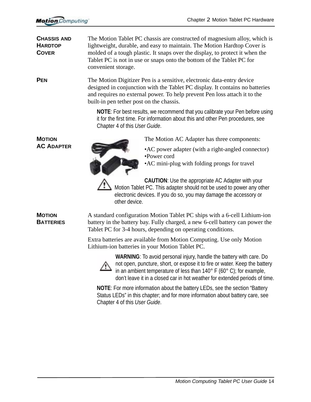| <b>CHASSIS AND</b><br><b>HARDTOP</b><br><b>COVER</b> | The Motion Tablet PC chassis are constructed of magnesium alloy, which is<br>lightweight, durable, and easy to maintain. The Motion Hardtop Cover is<br>molded of a tough plastic. It snaps over the display, to protect it when the<br>Tablet PC is not in use or snaps onto the bottom of the Tablet PC for<br>convenient storage. |  |  |  |
|------------------------------------------------------|--------------------------------------------------------------------------------------------------------------------------------------------------------------------------------------------------------------------------------------------------------------------------------------------------------------------------------------|--|--|--|
| <b>PEN</b>                                           | The Motion Digitizer Pen is a sensitive, electronic data-entry device<br>designed in conjunction with the Tablet PC display. It contains no batteries<br>and requires no external power. To help prevent Pen loss attach it to the<br>built-in pen tether post on the chassis.                                                       |  |  |  |
|                                                      | <b>NOTE:</b> For best results, we recommend that you calibrate your Pen before using<br>it for the first time. For information about this and other Pen procedures, see<br>Chapter 4 of this User Guide.                                                                                                                             |  |  |  |
| <b>MOTION</b>                                        | The Motion AC Adapter has three components:                                                                                                                                                                                                                                                                                          |  |  |  |
| <b>AC ADAPTER</b>                                    | • AC power adapter (with a right-angled connector)<br>•Power cord<br>• AC mini-plug with folding prongs for travel                                                                                                                                                                                                                   |  |  |  |
|                                                      | <b>CAUTION:</b> Use the appropriate AC Adapter with your<br>Motion Tablet PC. This adapter should not be used to power any other<br>electronic devices. If you do so, you may damage the accessory or<br>other device.                                                                                                               |  |  |  |
| <b>MOTION</b><br><b>BATTERIES</b>                    | A standard configuration Motion Tablet PC ships with a 6-cell Lithium-ion<br>battery in the battery bay. Fully charged, a new 6-cell battery can power the<br>Tablet PC for 3-4 hours, depending on operating conditions.                                                                                                            |  |  |  |
|                                                      | Extra batteries are available from Motion Computing. Use only Motion<br>Lithium-ion batteries in your Motion Tablet PC.                                                                                                                                                                                                              |  |  |  |
|                                                      | WARNING: To avoid personal injury, handle the battery with care. Do<br>not open, puncture, short, or expose it to fire or water. Keep the battery<br>in an ambient temperature of less than $140^{\circ}$ F (60 $^{\circ}$ C); for example,<br>don't leave it in a closed car in hot weather for extended periods of time.           |  |  |  |
|                                                      | NOTE: For more information about the battery LEDs, see the section "Battery<br>Status LEDs" in this chapter; and for more information about battery care, see<br>Chapter 4 of this User Guide.                                                                                                                                       |  |  |  |
|                                                      |                                                                                                                                                                                                                                                                                                                                      |  |  |  |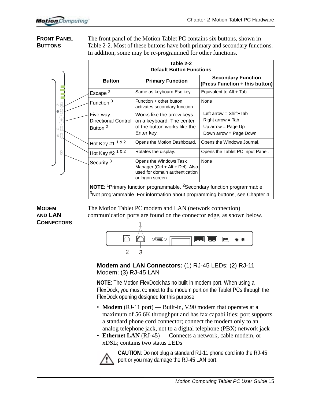# **FRONT PANEL BUTTONS**

The front panel of the Motion Tablet PC contains six buttons, shown in Table 2-2. Most of these buttons have both primary and secondary functions. In addition, some may be re-programmed for other functions.

|                                                      | Table 2-2<br><b>Default Button Functions</b>                  |                                                                                                                  |                                                                                                 |
|------------------------------------------------------|---------------------------------------------------------------|------------------------------------------------------------------------------------------------------------------|-------------------------------------------------------------------------------------------------|
|                                                      | <b>Button</b>                                                 | <b>Primary Function</b>                                                                                          | <b>Secondary Function</b><br>(Press Function + this button)                                     |
|                                                      | Escape <sup>2</sup>                                           | Same as keyboard Esc key                                                                                         | Equivalent to Alt + Tab                                                                         |
| $\otimes\textcircled{\scriptsize{0}}$                | Function <sup>3</sup>                                         | Function + other button<br>activates secondary function                                                          | None                                                                                            |
| $\bullet$ (0)<br>(⊲ଡ଼ି⊳<br>$\mathbf{\circ}$ (e)<br>◎ | Five-way<br><b>Directional Control</b><br>Button <sup>2</sup> | Works like the arrow keys<br>on a keyboard. The center<br>of the button works like the<br>Enter key.             | Left $arrow = Shift+Tab$<br>$Right arrow = Tab$<br>Up arrow = Page Up<br>Down arrow = Page Down |
|                                                      | Hot Key #1 1 & 2                                              | Opens the Motion Dashboard.                                                                                      | Opens the Windows Journal.                                                                      |
| 0                                                    | Hot Key #2 1 & 2                                              | Rotates the display.                                                                                             | Opens the Tablet PC Input Panel.                                                                |
|                                                      | Security <sup>3</sup>                                         | Opens the Windows Task<br>Manager (Ctrl + Alt + Del). Also<br>used for domain authentication<br>or logon screen. | None                                                                                            |
|                                                      |                                                               | NOTE: <sup>1</sup> Primary function programmable. <sup>2</sup> Secondary function programmable.                  |                                                                                                 |

<sup>3</sup>Not programmable. For information about programming buttons, see Chapter 4.

#### **MODEM AND LAN CONNECTORS**

The Motion Tablet PC modem and LAN (network connection) communication ports are found on the connector edge, as shown below.



# **Modem and LAN Connectors:** (1) RJ-45 LEDs; (2) RJ-11 Modem; (3) RJ-45 LAN

**NOTE**: The Motion FlexDock has no built-in modem port. When using a FlexDock, you must connect to the modem port on the Tablet PCs through the FlexDock opening designed for this purpose.

- **Modem** (RJ-11 port) Built-in, V.90 modem that operates at a maximum of 56.6K throughput and has fax capabilities; port supports a standard phone cord connector; connect the modem only to an analog telephone jack, not to a digital telephone (PBX) network jack
- **Ethernet LAN** (RJ-45) Connects a network, cable modem, or xDSL; contains two status LEDs



**CAUTION**: Do not plug a standard RJ-11 phone cord into the RJ-45 port or you may damage the RJ-45 LAN port.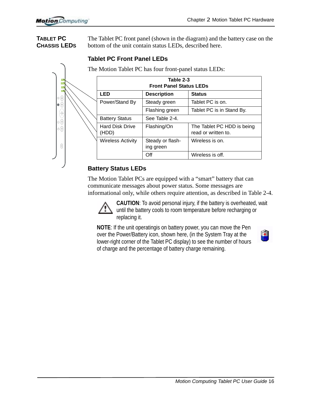#### **TABLET PC CHASSIS LEDS**

The Tablet PC front panel (shown in the diagram) and the battery case on the bottom of the unit contain status LEDs, described here.

|                                                                                                | Table 2-3<br><b>Front Panel Status LEDs</b> |                               |                                                   |
|------------------------------------------------------------------------------------------------|---------------------------------------------|-------------------------------|---------------------------------------------------|
|                                                                                                | <b>LED</b>                                  | <b>Description</b>            | <b>Status</b>                                     |
|                                                                                                | Power/Stand By                              | Steady green                  | Tablet PC is on.                                  |
|                                                                                                |                                             | Flashing green                | Tablet PC is in Stand By.                         |
| $\left(\begin{smallmatrix} 1 & 0 \\ 0 & 0 \\ 0 & 0 \end{smallmatrix}\right)$<br>$\circledcirc$ | <b>Battery Status</b>                       | See Table 2-4.                |                                                   |
|                                                                                                | <b>Hard Disk Drive</b><br>(HDD)             | Flashing/On                   | The Tablet PC HDD is being<br>read or written to. |
|                                                                                                | <b>Wireless Activity</b>                    | Steady or flash-<br>ing green | Wireless is on.                                   |
|                                                                                                |                                             | Off                           | Wireless is off.                                  |

# **Tablet PC Front Panel LEDs**

# **Battery Status LEDs**

The Motion Tablet PCs are equipped with a "smart" battery that can communicate messages about power status. Some messages are informational only, while others require attention, as described in Table 2-4.

**CAUTION**: To avoid personal injury, if the battery is overheated, wait until the battery cools to room temperature before recharging or replacing it.

**NOTE**: If the unit operatingis on battery power, you can move the Pen over the Power/Battery icon, shown here, (in the System Tray at the lower-right corner of the Tablet PC display) to see the number of hours of charge and the percentage of battery charge remaining.

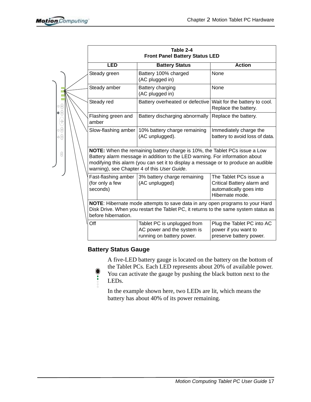|                                                                                                                                |  | Table 2-4<br><b>Front Panel Battery Status LED</b>                                                                                                                                                                                                                                             |                                                                                        |                                                                                                    |  |
|--------------------------------------------------------------------------------------------------------------------------------|--|------------------------------------------------------------------------------------------------------------------------------------------------------------------------------------------------------------------------------------------------------------------------------------------------|----------------------------------------------------------------------------------------|----------------------------------------------------------------------------------------------------|--|
|                                                                                                                                |  | <b>LED</b>                                                                                                                                                                                                                                                                                     | <b>Battery Status</b>                                                                  | <b>Action</b>                                                                                      |  |
|                                                                                                                                |  | Steady green                                                                                                                                                                                                                                                                                   | Battery 100% charged<br>(AC plugged in)                                                | None                                                                                               |  |
|                                                                                                                                |  | Steady amber                                                                                                                                                                                                                                                                                   | Battery charging<br>(AC plugged in)                                                    | None                                                                                               |  |
| ⊗ ()                                                                                                                           |  | Steady red                                                                                                                                                                                                                                                                                     | Battery overheated or defective Wait for the battery to cool.                          | Replace the battery.                                                                               |  |
| $\bullet$ $\circledcirc$<br>$\begin{pmatrix}\n\frac{\partial}{\partial \rho} \\ \frac{\partial}{\partial \rho}\n\end{pmatrix}$ |  | Flashing green and<br>amber                                                                                                                                                                                                                                                                    | Battery discharging abnormally                                                         | Replace the battery.                                                                               |  |
| $\circledcirc$<br>◎                                                                                                            |  | Slow-flashing amber                                                                                                                                                                                                                                                                            | 10% battery charge remaining<br>(AC unplugged).                                        | Immediately charge the<br>battery to avoid loss of data.                                           |  |
| 0                                                                                                                              |  | NOTE: When the remaining battery charge is 10%, the Tablet PCs issue a Low<br>Battery alarm message in addition to the LED warning. For information about<br>modifying this alarm (you can set it to display a message or to produce an audible<br>warning), see Chapter 4 of this User Guide. |                                                                                        |                                                                                                    |  |
|                                                                                                                                |  | Fast-flashing amber<br>(for only a few<br>seconds)                                                                                                                                                                                                                                             | 3% battery charge remaining<br>(AC unplugged)                                          | The Tablet PCs issue a<br>Critical Battery alarm and<br>automatically goes into<br>Hibernate mode. |  |
|                                                                                                                                |  | NOTE: Hibernate mode attempts to save data in any open programs to your Hard<br>Disk Drive. When you restart the Tablet PC, it returns to the same system status as<br>before hibernation.                                                                                                     |                                                                                        |                                                                                                    |  |
|                                                                                                                                |  | Off                                                                                                                                                                                                                                                                                            | Tablet PC is unplugged from<br>AC power and the system is<br>running on battery power. | Plug the Tablet PC into AC<br>power if you want to<br>preserve battery power.                      |  |

# **Battery Status Gauge**

 $\bullet$ 

A five-LED battery gauge is located on the battery on the bottom of the Tablet PCs. Each LED represents about 20% of available power.

You can activate the gauge by pushing the black button next to the LEDs.

In the example shown here, two LEDs are lit, which means the battery has about 40% of its power remaining.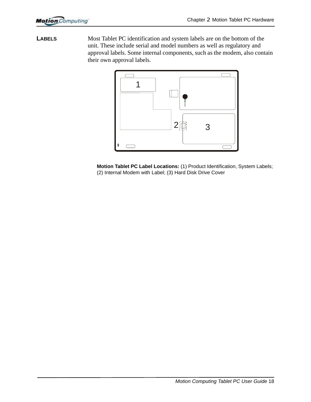**LABELS** Most Tablet PC identification and system labels are on the bottom of the unit. These include serial and model numbers as well as regulatory and approval labels. Some internal components, such as the modem, also contain their own approval labels.



**Motion Tablet PC Label Locations:** (1) Product Identification, System Labels; (2) Internal Modem with Label; (3) Hard Disk Drive Cover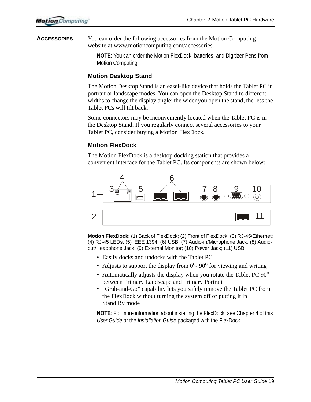**ACCESSORIES** You can order the following accessories from the Motion Computing website at www.motioncomputing.com/accessories.

> **NOTE**: You can order the Motion FlexDock, batteries, and Digitizer Pens from Motion Computing.

#### **Motion Desktop Stand**

The Motion Desktop Stand is an easel-like device that holds the Tablet PC in portrait or landscape modes. You can open the Desktop Stand to different widths to change the display angle: the wider you open the stand, the less the Tablet PCs will tilt back.

Some connectors may be inconveniently located when the Tablet PC is in the Desktop Stand. If you regularly connect several accessories to your Tablet PC, consider buying a Motion FlexDock.

# **Motion FlexDock**

The Motion FlexDock is a desktop docking station that provides a convenient interface for the Tablet PC. Its components are shown below:



**Motion FlexDock:** (1) Back of FlexDock; (2) Front of FlexDock; (3) RJ-45/Ethernet; (4) RJ-45 LEDs; (5) IEEE 1394; (6) USB; (7) Audio-in/Microphone Jack; (8) Audioout/Headphone Jack; (9) External Monitor; (10) Power Jack; (11) USB

- Easily docks and undocks with the Tablet PC
- Adjusts to support the display from  $0^{\circ}$  90<sup>o</sup> for viewing and writing
- Automatically adjusts the display when you rotate the Tablet PC  $90^{\circ}$ between Primary Landscape and Primary Portrait
- "Grab-and-Go" capability lets you safely remove the Tablet PC from the FlexDock without turning the system off or putting it in Stand By mode

**NOTE**: For more information about installing the FlexDock, see Chapter 4 of this *User Guide* or the *Installation Guide* packaged with the FlexDock.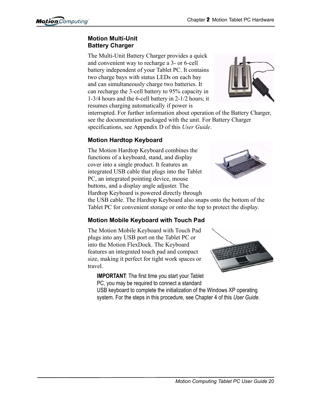# **Motion Multi-Unit Battery Charger**

The Multi-Unit Battery Charger provides a quick and convenient way to recharge a 3- or 6-cell battery independent of your Tablet PC. It contains two charge bays with status LEDs on each bay and can simultaneously charge two batteries. It can recharge the 3-cell battery to 95% capacity in 1-3/4 hours and the 6-cell battery in 2-1/2 hours; it resumes charging automatically if power is



interrupted. For further information about operation of the Battery Charger, see the documentation packaged with the unit. For Battery Charger specifications, see Appendix D of this *User Guide*.

# **Motion Hardtop Keyboard**

The Motion Hardtop Keyboard combines the functions of a keyboard, stand, and display cover into a single product. It features an integrated USB cable that plugs into the Tablet PC, an integrated pointing device, mouse buttons, and a display angle adjuster. The Hardtop Keyboard is powered directly through



the USB cable. The Hardtop Keyboard also snaps onto the bottom of the Tablet PC for convenient storage or onto the top to protect the display.

# **Motion Mobile Keyboard with Touch Pad**

The Motion Mobile Keyboard with Touch Pad plugs into any USB port on the Tablet PC or into the Motion FlexDock. The Keyboard features an integrated touch pad and compact size, making it perfect for tight work spaces or travel.

**IMPORTANT**: The first time you start your Tablet PC, you may be required to connect a standard



USB keyboard to complete the initialization of the Windows XP operating system. For the steps in this procedure, see Chapter 4 of this *User Guide*.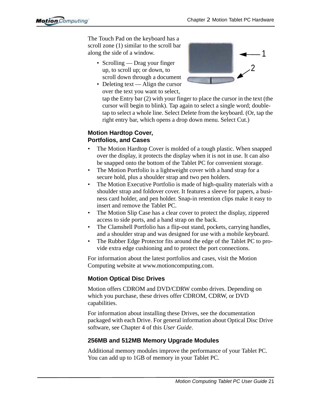The Touch Pad on the keyboard has a scroll zone (1) similar to the scroll bar along the side of a window.

- Scrolling Drag your finger up, to scroll up; or down, to scroll down through a document
- Deleting text Align the cursor over the text you want to select,



tap the Entry bar (2) with your finger to place the cursor in the text (the cursor will begin to blink). Tap again to select a single word; doubletap to select a whole line. Select Delete from the keyboard. (Or, tap the right entry bar, which opens a drop down menu. Select Cut.)

# **Motion Hardtop Cover, Portfolios, and Cases**

- The Motion Hardtop Cover is molded of a tough plastic. When snapped over the display, it protects the display when it is not in use. It can also be snapped onto the bottom of the Tablet PC for convenient storage.
- The Motion Portfolio is a lightweight cover with a hand strap for a secure hold, plus a shoulder strap and two pen holders.
- The Motion Executive Portfolio is made of high-quality materials with a shoulder strap and foldover cover. It features a sleeve for papers, a business card holder, and pen holder. Snap-in retention clips make it easy to insert and remove the Tablet PC.
- The Motion Slip Case has a clear cover to protect the display, zippered access to side ports, and a hand strap on the back.
- The Clamshell Portfolio has a flip-out stand, pockets, carrying handles, and a shoulder strap and was designed for use with a mobile keyboard.
- The Rubber Edge Protector fits around the edge of the Tablet PC to provide extra edge cushioning and to protect the port connections.

For information about the latest portfolios and cases, visit the Motion Computing website at www.motioncomputing.com.

# **Motion Optical Disc Drives**

Motion offers CDROM and DVD/CDRW combo drives. Depending on which you purchase, these drives offer CDROM, CDRW, or DVD capabilities.

For information about installing these Drives, see the documentation packaged with each Drive. For general information about Optical Disc Drive software, see Chapter 4 of this *User Guide*.

# **256MB and 512MB Memory Upgrade Modules**

Additional memory modules improve the performance of your Tablet PC. You can add up to 1GB of memory in your Tablet PC.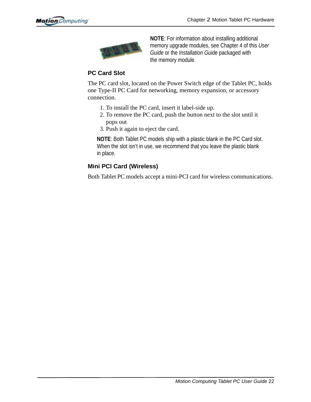

**NOTE**: For information about installing additional memory upgrade modules, see Chapter 4 of this *User Guide* or the *Installation Guide* packaged with the memory module.

# **PC Card Slot**

The PC card slot, located on the Power Switch edge of the Tablet PC, holds one Type-II PC Card for networking, memory expansion, or accessory connection.

- 1. To install the PC card, insert it label-side up.
- 2. To remove the PC card, push the button next to the slot until it pops out
- 3. Push it again to eject the card.

**NOTE**: Both Tablet PC models ship with a plastic blank in the PC Card slot. When the slot isn't in use, we recommend that you leave the plastic blank in place.

# **Mini PCI Card (Wireless)**

Both Tablet PC models accept a mini-PCI card for wireless communications.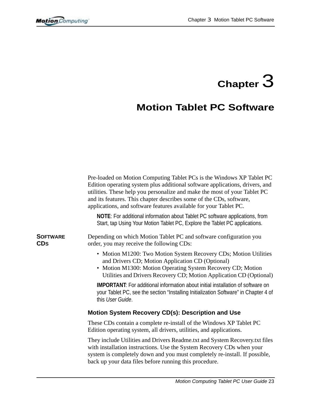# **Chapter**  $3$

# **Motion Tablet PC Software**

|                        | Pre-loaded on Motion Computing Tablet PCs is the Windows XP Tablet PC<br>Edition operating system plus additional software applications, drivers, and<br>utilities. These help you personalize and make the most of your Tablet PC<br>and its features. This chapter describes some of the CDs, software,<br>applications, and software features available for your Tablet PC. |
|------------------------|--------------------------------------------------------------------------------------------------------------------------------------------------------------------------------------------------------------------------------------------------------------------------------------------------------------------------------------------------------------------------------|
|                        | NOTE: For additional information about Tablet PC software applications, from<br>Start, tap Using Your Motion Tablet PC, Explore the Tablet PC applications.                                                                                                                                                                                                                    |
| <b>SOFTWARE</b><br>CDs | Depending on which Motion Tablet PC and software configuration you<br>order, you may receive the following CDs:                                                                                                                                                                                                                                                                |
|                        | • Motion M1200: Two Motion System Recovery CDs; Motion Utilities<br>and Drivers CD; Motion Application CD (Optional)<br>• Motion M1300: Motion Operating System Recovery CD; Motion<br>Utilities and Drivers Recovery CD; Motion Application CD (Optional)                                                                                                                     |
|                        | <b>IMPORTANT:</b> For additional information about initial installation of software on<br>your Tablet PC, see the section "Installing Initialization Software" in Chapter 4 of<br>this User Guide.                                                                                                                                                                             |
|                        | Motion System Recovery CD(s): Description and Use                                                                                                                                                                                                                                                                                                                              |
|                        | These CDs contain a complete re-install of the Windows XP Tablet PC<br>Edition operating system, all drivers, utilities, and applications.                                                                                                                                                                                                                                     |
|                        | They include Utilities and Drivers Readme.txt and System Recovery.txt files<br>with installation instructions. Use the System Recovery CDs when your<br>system is completely down and you must completely re-install. If possible,<br>back up your data files before running this procedure.                                                                                   |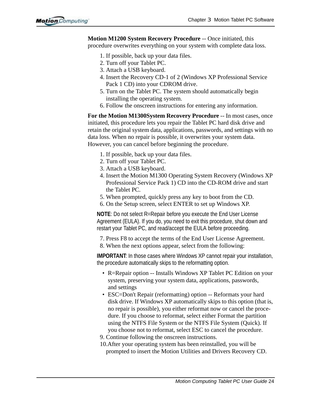**Motion M1200 System Recovery Procedure** -- Once initiated, this procedure overwrites everything on your system with complete data loss.

- 1. If possible, back up your data files.
- 2. Turn off your Tablet PC.
- 3. Attach a USB keyboard.
- 4. Insert the Recovery CD-1 of 2 (Windows XP Professional Service Pack 1 CD) into your CDROM drive.
- 5. Turn on the Tablet PC. The system should automatically begin installing the operating system.
- 6. Follow the onscreen instructions for entering any information.

**For the Motion M1300System Recovery Procedure** -- In most cases, once initiated, this procedure lets you repair the Tablet PC hard disk drive and retain the original system data, applications, passwords, and settings with no data loss. When no repair is possible, it overwrites your system data. However, you can cancel before beginning the procedure.

- 1. If possible, back up your data files.
- 2. Turn off your Tablet PC.
- 3. Attach a USB keyboard.
- 4. Insert the Motion M1300 Operating System Recovery (Windows XP Professional Service Pack 1) CD into the CD-ROM drive and start the Tablet PC.
- 5. When prompted, quickly press any key to boot from the CD.
- 6. On the Setup screen, select ENTER to set up Windows XP.

**NOTE**: Do not select R=Repair before you execute the End User License Agreement (EULA). If you do, you need to exit this procedure, shut down and restart your Tablet PC, and read/accept the EULA before proceeding.

7. Press F8 to accept the terms of the End User License Agreement.

8. When the next options appear, select from the following:

**IMPORTANT**: In those cases where Windows XP cannot repair your installation, the procedure automatically skips to the reformatting option.

- R=Repair option -- Installs Windows XP Tablet PC Edition on your system, preserving your system data, applications, passwords, and settings
- ESC=Don't Repair (reformatting) option -- Reformats your hard disk drive. If Windows XP automatically skips to this option (that is, no repair is possible), you either reformat now or cancel the procedure. If you choose to reformat, select either Format the partition using the NTFS File System or the NTFS File System (Quick). If you choose not to reformat, select ESC to cancel the procedure.
- 9. Continue following the onscreen instructions.
- 10.After your operating system has been reinstalled, you will be prompted to insert the Motion Utilities and Drivers Recovery CD.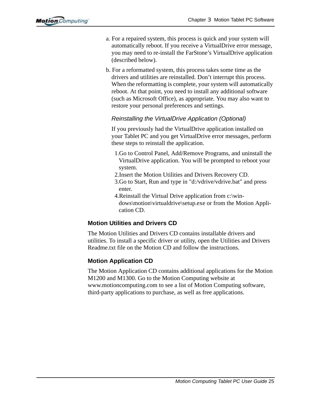- a. For a repaired system, this process is quick and your system will automatically reboot. If you receive a VirtualDrive error message, you may need to re-install the FarStone's VirtualDrive application (described below).
- b. For a reformatted system, this process takes some time as the drivers and utilities are reinstalled. Don't interrupt this process. When the reformatting is complete, your system will automatically reboot. At that point, you need to install any additional software (such as Microsoft Office), as appropriate. You may also want to restore your personal preferences and settings.

#### *Reinstalling the VirtualDrive Application (Optional)*

If you previously had the VirtualDrive application installed on your Tablet PC and you get VirtualDrive error messages, perform these steps to reinstall the application.

- 1.Go to Control Panel, Add/Remove Programs, and uninstall the VirtualDrive application. You will be prompted to reboot your system.
- 2.Insert the Motion Utilities and Drivers Recovery CD.
- 3.Go to Start, Run and type in "d:/vdrive/vdrive.bat" and press enter.
- 4.Reinstall the Virtual Drive application from c:\windows\motion\virtualdrive\setup.exe or from the Motion Application CD.

# **Motion Utilities and Drivers CD**

The Motion Utilities and Drivers CD contains installable drivers and utilities. To install a specific driver or utility, open the Utilities and Drivers Readme.txt file on the Motion CD and follow the instructions.

# **Motion Application CD**

The Motion Application CD contains additional applications for the Motion M1200 and M1300. Go to the Motion Computing website at www.motioncomputing.com to see a list of Motion Computing software, third-party applications to purchase, as well as free applications.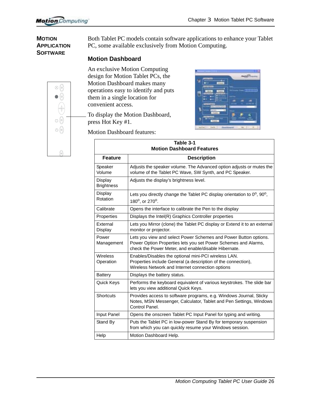#### **MOTION APPLICATION SOFTWARE**

Both Tablet PC models contain software applications to enhance your Tablet PC, some available exclusively from Motion Computing.

# **Motion Dashboard**

An exclusive Motion Computing design for Motion Tablet PCs, the Motion Dashboard makes many operations easy to identify and puts them in a single location for convenient access.

To display the Motion Dashboard, press Hot Key #1.



Motion Dashboard features:

| Table 3-1                        |                                                                                                                                                                                            |  |  |  |
|----------------------------------|--------------------------------------------------------------------------------------------------------------------------------------------------------------------------------------------|--|--|--|
| <b>Motion Dashboard Features</b> |                                                                                                                                                                                            |  |  |  |
| <b>Feature</b>                   | <b>Description</b>                                                                                                                                                                         |  |  |  |
| Speaker<br>Volume                | Adjusts the speaker volume. The Advanced option adjusts or mutes the<br>volume of the Tablet PC Wave, SW Synth, and PC Speaker.                                                            |  |  |  |
| Display<br><b>Brightness</b>     | Adjusts the display's brightness level.                                                                                                                                                    |  |  |  |
| Display<br>Rotation              | Lets you directly change the Tablet PC display orientation to $0^{\circ}$ , $90^{\circ}$ ,<br>180 <sup>o</sup> , or 270 <sup>o</sup> .                                                     |  |  |  |
| Calibrate                        | Opens the interface to calibrate the Pen to the display                                                                                                                                    |  |  |  |
| Properties                       | Displays the Intel(R) Graphics Controller properties                                                                                                                                       |  |  |  |
| External<br>Display              | Lets you Mirror (clone) the Tablet PC display or Extend it to an external<br>monitor or projector.                                                                                         |  |  |  |
| Power<br>Management              | Lets you view and select Power Schemes and Power Button options.<br>Power Option Properties lets you set Power Schemes and Alarms,<br>check the Power Meter, and enable/disable Hibernate. |  |  |  |
| Wireless<br>Operation            | Enables/Disables the optional mini-PCI wireless LAN.<br>Properties include General (a description of the connection),<br>Wireless Network and Internet connection options                  |  |  |  |
| <b>Battery</b>                   | Displays the battery status.                                                                                                                                                               |  |  |  |
| Quick Keys                       | Performs the keyboard equivalent of various keystrokes. The slide bar<br>lets you view additional Quick Keys.                                                                              |  |  |  |
| <b>Shortcuts</b>                 | Provides access to software programs, e.g. Windows Journal, Sticky<br>Notes, MSN Messenger, Calculator, Tablet and Pen Settings, Windows<br>Control Panel.                                 |  |  |  |
| Input Panel                      | Opens the onscreen Tablet PC Input Panel for typing and writing.                                                                                                                           |  |  |  |
| Stand By                         | Puts the Tablet PC in low-power Stand By for temporary suspension<br>from which you can quickly resume your Windows session.                                                               |  |  |  |
| Help                             | Motion Dashboard Help.                                                                                                                                                                     |  |  |  |

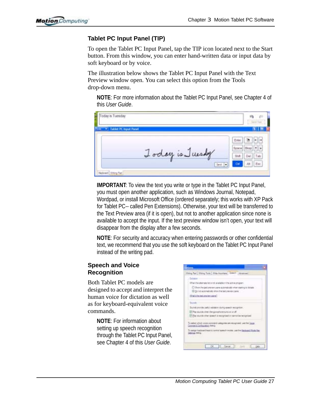# **Tablet PC Input Panel (TIP)**

To open the Tablet PC Input Panel, tap the TIP icon located next to the Start button. From this window, you can enter hand-written data or input data by soft keyboard or by voice.

The illustration below shows the Tablet PC Input Panel with the Text Preview window open. You can select this option from the Tools drop-down menu.

**NOTE**: For more information about the Tablet PC Input Panel, see Chapter 4 of this *User Guide*.



**IMPORTANT**: To view the text you write or type in the Tablet PC Input Panel, you must open another application, such as Windows Journal, Notepad, Wordpad, or install Microsoft Office (ordered separately; this works with XP Pack for Tablet PC-- called Pen Extensions). Otherwise, your text will be transferred to the Text Preview area (if it is open), but not to another application since none is available to accept the input. If the text preview window isn't open, your text will disappear from the display after a few seconds.

**NOTE**: For security and accuracy when entering passwords or other confidential text, we recommend that you use the soft keyboard on the Tablet PC Input Panel instead of the writing pad.

# **Speech and Voice Recognition**

Both Tablet PC models are designed to accept and interpret the human voice for dictation as well as for keyboard-equivalent voice commands.

> **NOTE**: For information about setting up speech recognition through the Tablet PC Input Panel, see Chapter 4 of this *User Guide*.

| 2010                                |                                                                                                                                                                                                                                                    |                |  |
|-------------------------------------|----------------------------------------------------------------------------------------------------------------------------------------------------------------------------------------------------------------------------------------------------|----------------|--|
|                                     | Vieing Part   Vieing Tools   Wita Anywhere   Jamesh   Adventure                                                                                                                                                                                    |                |  |
| Dobabas                             |                                                                                                                                                                                                                                                    |                |  |
|                                     | (then the abonate lat a not available mithe active program)                                                                                                                                                                                        |                |  |
|                                     | C) then the pet premier pane automaticals when starting to states<br>III Denot automatically when the text prevents panel                                                                                                                          |                |  |
| TChad to the text unsurers use of T |                                                                                                                                                                                                                                                    |                |  |
| <b>Smarshi</b>                      |                                                                                                                                                                                                                                                    |                |  |
|                                     | Stunds provide useful relidelim: during epeech recognition                                                                                                                                                                                         |                |  |
|                                     | The multiple interesting appropriate turns on an all                                                                                                                                                                                               |                |  |
|                                     | in the stunds when speech a recognised in carrick be recognised.                                                                                                                                                                                   |                |  |
| Connerd Configuration mess.         | To select which yours constraint categories are recognated totalline liques<br>To easign liastment liese to torrow speech modes, just the Nackupal Made Key.<br>Determined and the second contract the contract of the contract of the contract of |                |  |
|                                     |                                                                                                                                                                                                                                                    | OK Cance I Ave |  |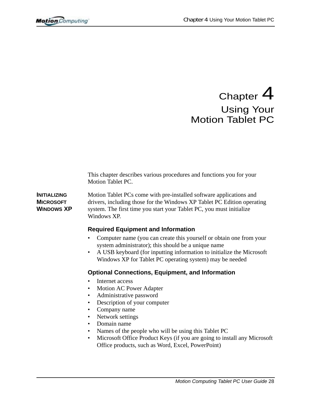# Chapter 4 Using Your Motion Tablet PC

This chapter describes various procedures and functions you for your Motion Tablet PC.

**INITIALIZING MICROSOFT WINDOWS XP** Motion Tablet PCs come with pre-installed software applications and drivers, including those for the Windows XP Tablet PC Edition operating system. The first time you start your Tablet PC, you must initialize Windows XP.

# **Required Equipment and Information**

- Computer name (you can create this yourself or obtain one from your system administrator); this should be a unique name
- A USB keyboard (for inputting information to initialize the Microsoft Windows XP for Tablet PC operating system) may be needed

# **Optional Connections, Equipment, and Information**

- Internet access
- Motion AC Power Adapter
- Administrative password
- Description of your computer
- Company name
- Network settings
- Domain name
- Names of the people who will be using this Tablet PC
- Microsoft Office Product Keys (if you are going to install any Microsoft Office products, such as Word, Excel, PowerPoint)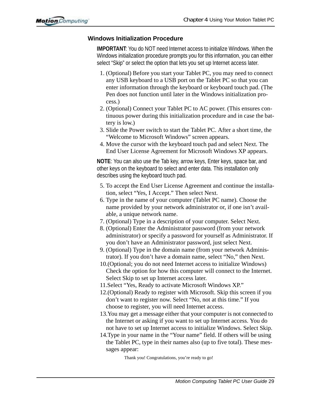#### **Windows Initialization Procedure**

**IMPORTANT**: You do NOT need Internet access to initialize Windows. When the Windows initialization procedure prompts you for this information, you can either select "Skip" or select the option that lets you set up Internet access later.

- 1. (Optional) Before you start your Tablet PC, you may need to connect any USB keyboard to a USB port on the Tablet PC so that you can enter information through the keyboard or keyboard touch pad. (The Pen does not function until later in the Windows initialization process.)
- 2. (Optional) Connect your Tablet PC to AC power. (This ensures continuous power during this initialization procedure and in case the battery is low.)
- 3. Slide the Power switch to start the Tablet PC. After a short time, the "Welcome to Microsoft Windows" screen appears.
- 4. Move the cursor with the keyboard touch pad and select Next. The End User License Agreement for Microsoft Windows XP appears.

**NOTE**: You can also use the Tab key, arrow keys, Enter keys, space bar, and other keys on the keyboard to select and enter data. This installation only describes using the keyboard touch pad.

- 5. To accept the End User License Agreement and continue the installation, select "Yes, I Accept." Then select Next.
- 6. Type in the name of your computer (Tablet PC name). Choose the name provided by your network administrator or, if one isn't available, a unique network name.
- 7. (Optional) Type in a description of your computer. Select Next.
- 8. (Optional) Enter the Administrator password (from your network administrator) or specify a password for yourself as Administrator. If you don't have an Administrator password, just select Next.
- 9. (Optional) Type in the domain name (from your network Administrator). If you don't have a domain name, select "No," then Next.
- 10.(Optional; you do not need Internet access to initialize Windows) Check the option for how this computer will connect to the Internet. Select Skip to set up Internet access later.
- 11.Select "Yes, Ready to activate Microsoft Windows XP."
- 12.(Optional) Ready to register with Microsoft. Skip this screen if you don't want to register now. Select "No, not at this time." If you choose to register, you will need Internet access.
- 13.You may get a message either that your computer is not connected to the Internet or asking if you want to set up Internet access. You do not have to set up Internet access to initialize Windows. Select Skip.
- 14.Type in your name in the "Your name" field. If others will be using the Tablet PC, type in their names also (up to five total). These messages appear:

Thank you! Congratulations, you're ready to go!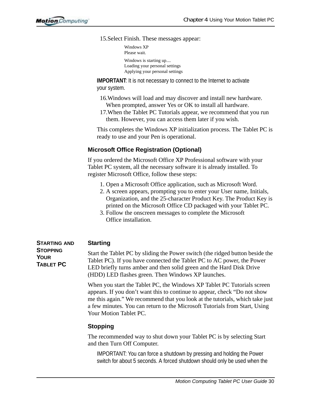15.Select Finish. These messages appear:

Windows XP Please wait. Windows is starting up.... Loading your personal settings Applying your personal settings

**IMPORTANT:** It is not necessary to connect to the Internet to activate your system.

- 16.Windows will load and may discover and install new hardware. When prompted, answer Yes or OK to install all hardware.
- 17.When the Tablet PC Tutorials appear, we recommend that you run them. However, you can access them later if you wish.

This completes the Windows XP initialization process. The Tablet PC is ready to use and your Pen is operational.

# **Microsoft Office Registration (Optional)**

If you ordered the Microsoft Office XP Professional software with your Tablet PC system, all the necessary software it is already installed. To register Microsoft Office, follow these steps:

- 1. Open a Microsoft Office application, such as Microsoft Word.
- 2. A screen appears, prompting you to enter your User name, Initials, Organization, and the 25-character Product Key. The Product Key is printed on the Microsoft Office CD packaged with your Tablet PC.
- 3. Follow the onscreen messages to complete the Microsoft Office installation.

| <b>STARTING AND</b>                         | <b>Starting</b>                                                                                                                                                                                                                                                                       |
|---------------------------------------------|---------------------------------------------------------------------------------------------------------------------------------------------------------------------------------------------------------------------------------------------------------------------------------------|
| <b>STOPPING</b><br><b>YOUR</b><br>TABLET PC | Start the Tablet PC by sliding the Power switch (the ridged button beside the<br>Tablet PC). If you have connected the Tablet PC to AC power, the Power<br>LED briefly turns amber and then solid green and the Hard Disk Drive<br>(HDD) LED flashes green. Then Windows XP launches. |

When you start the Tablet PC, the Windows XP Tablet PC Tutorials screen appears. If you don't want this to continue to appear, check "Do not show me this again." We recommend that you look at the tutorials, which take just a few minutes. You can return to the Microsoft Tutorials from Start, Using Your Motion Tablet PC.

#### **Stopping**

The recommended way to shut down your Tablet PC is by selecting Start and then Turn Off Computer.

IMPORTANT: You can force a shutdown by pressing and holding the Power switch for about 5 seconds. A forced shutdown should only be used when the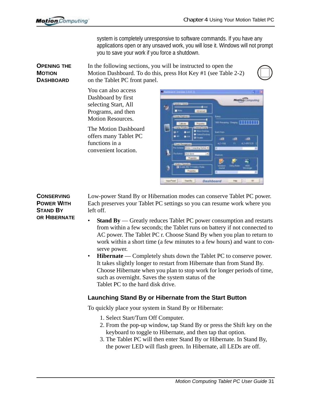system is completely unresponsive to software commands. If you have any applications open or any unsaved work, you will lose it. Windows will not prompt you to save your work if you force a shutdown.

**OPENING THE MOTION DASHBOARD** In the following sections, you will be instructed to open the Motion Dashboard. To do this, press Hot Key #1 (see Table 2-2) on the Tablet PC front panel.



You can also access Dashboard by first selecting Start, All Programs, and then Motion Resources.

The Motion Dashboard offers many Tablet PC functions in a convenient location.

| ۵ | <b>Speaker Vistoria</b><br><b>Think</b>                                                       | <b>Motion Computing</b>                           |
|---|-----------------------------------------------------------------------------------------------|---------------------------------------------------|
|   | <b>Adversed</b><br><b>District Angles</b><br>Culturas<br><b>Processor</b>                     | <b>Bahas</b><br>$\cdots$ chine<br><b>ISS Real</b> |
|   | <b>Tigla Ralator</b><br>Literature Lagine<br>rcilados<br>$\blacksquare$<br>ö                  | <b>Sail Fam</b><br>a T<br>a<br>٠                  |
|   | <b>Ford Harage</b><br>a.<br>Hinker Congoling Sylva, W.<br>미<br><b>Aud dones</b><br>Financiato | 401448<br><b>ALTANTICK:</b><br>٠<br>п<br>m        |
|   | Wader Openha<br><b>Hanks</b><br>II 11 Wee<br>Properties                                       | <b>Simula</b><br>п                                |

Low-power Stand By or Hibernation modes can conserve Tablet PC power. Each preserves your Tablet PC settings so you can resume work where you left off.

- **Stand By** Greatly reduces Tablet PC power consumption and restarts from within a few seconds; the Tablet runs on battery if not connected to AC power. The Tablet PC r. Choose Stand By when you plan to return to work within a short time (a few minutes to a few hours) and want to conserve power.
- **Hibernate** Completely shuts down the Tablet PC to conserve power. It takes slightly longer to restart from Hibernate than from Stand By. Choose Hibernate when you plan to stop work for longer periods of time, such as overnight. Saves the system status of the Tablet PC to the hard disk drive.

#### **Launching Stand By or Hibernate from the Start Button**

To quickly place your system in Stand By or Hibernate:

- 1. Select Start/Turn Off Computer.
- 2. From the pop-up window, tap Stand By or press the Shift key on the keyboard to toggle to Hibernate, and then tap that option.
- 3. The Tablet PC will then enter Stand By or Hibernate. In Stand By, the power LED will flash green. In Hibernate, all LEDs are off.

**CONSERVING POWER WITH STAND BY OR HIBERNATE**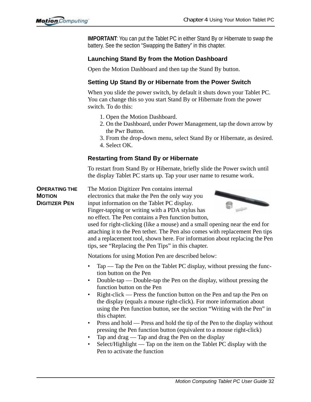**IMPORTANT**: You can put the Tablet PC in either Stand By or Hibernate to swap the battery. See the section "Swapping the Battery" in this chapter.

# **Launching Stand By from the Motion Dashboard**

Open the Motion Dashboard and then tap the Stand By button.

# **Setting Up Stand By or Hibernate from the Power Switch**

When you slide the power switch, by default it shuts down your Tablet PC. You can change this so you start Stand By or Hibernate from the power switch. To do this:

- 1. Open the Motion Dashboard.
- 2. On the Dashboard, under Power Management, tap the down arrow by the Pwr Button.
- 3. From the drop-down menu, select Stand By or Hibernate, as desired. 4. Select OK.

# **Restarting from Stand By or Hibernate**

To restart from Stand By or Hibernate, briefly slide the Power switch until the display Tablet PC starts up. Tap your user name to resume work.

**OPERATING THE MOTION DIGITIZER PEN** The Motion Digitizer Pen contains internal electronics that make the Pen the only way you input information on the Tablet PC display. Finger-tapping or writing with a PDA stylus has



used for right-clicking (like a mouse) and a small opening near the end for attaching it to the Pen tether. The Pen also comes with replacement Pen tips and a replacement tool, shown here. For information about replacing the Pen tips, see "Replacing the Pen Tips" in this chapter.

Notations for using Motion Pen are described below:

no effect. The Pen contains a Pen function button,

- Tap Tap the Pen on the Tablet PC display, without pressing the function button on the Pen
- Double-tap Double-tap the Pen on the display, without pressing the function button on the Pen
- Right-click Press the function button on the Pen and tap the Pen on the display (equals a mouse right-click). For more information about using the Pen function button, see the section "Writing with the Pen" in this chapter.
- Press and hold Press and hold the tip of the Pen to the display without pressing the Pen function button (equivalent to a mouse right-click)
- Tap and drag Tap and drag the Pen on the display
- Select/Highlight Tap on the item on the Tablet PC display with the Pen to activate the function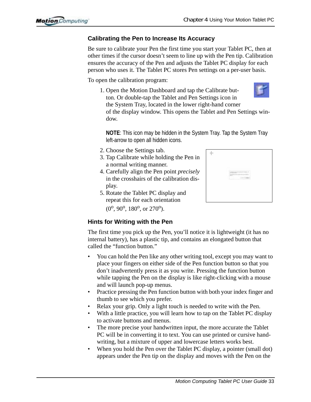# **Calibrating the Pen to Increase Its Accuracy**

Be sure to calibrate your Pen the first time you start your Tablet PC, then at other times if the cursor doesn't seem to line up with the Pen tip. Calibration ensures the accuracy of the Pen and adjusts the Tablet PC display for each person who uses it. The Tablet PC stores Pen settings on a per-user basis.

To open the calibration program:

1. Open the Motion Dashboard and tap the Calibrate button. Or double-tap the Tablet and Pen Settings icon in the System Tray, located in the lower right-hand corner of the display window. This opens the Tablet and Pen Settings window.

**NOTE**: This icon may be hidden in the System Tray. Tap the System Tray left-arrow to open all hidden icons.

- 2. Choose the Settings tab.
- 3. Tap Calibrate while holding the Pen in a normal writing manner.
- 4. Carefully align the Pen point *precisely* in the crosshairs of the calibration display.
- 5. Rotate the Tablet PC display and repeat this for each orientation  $(0^{\circ}, 90^{\circ}, 180^{\circ}, \text{ or } 270^{\circ}).$

# **Hints for Writing with the Pen**

The first time you pick up the Pen, you'll notice it is lightweight (it has no internal battery), has a plastic tip, and contains an elongated button that called the "function button."

- You can hold the Pen like any other writing tool, except you may want to place your fingers on either side of the Pen function button so that you don't inadvertently press it as you write. Pressing the function button while tapping the Pen on the display is like right-clicking with a mouse and will launch pop-up menus.
- Practice pressing the Pen function button with both your index finger and thumb to see which you prefer.
- Relax your grip. Only a light touch is needed to write with the Pen.
- With a little practice, you will learn how to tap on the Tablet PC display to activate buttons and menus.
- The more precise your handwritten input, the more accurate the Tablet PC will be in converting it to text. You can use printed or cursive handwriting, but a mixture of upper and lowercase letters works best.
- When you hold the Pen over the Tablet PC display, a pointer (small dot) appears under the Pen tip on the display and moves with the Pen on the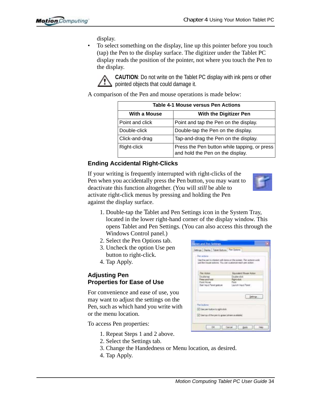display.

• To select something on the display, line up this pointer before you touch (tap) the Pen to the display surface. The digitizer under the Tablet PC display reads the position of the pointer, not where you touch the Pen to the display.



**CAUTION**: Do not write on the Tablet PC display with ink pens or other pointed objects that could damage it.

A comparison of the Pen and mouse operations is made below:

| <b>Table 4-1 Mouse versus Pen Actions</b> |                                                                                  |  |
|-------------------------------------------|----------------------------------------------------------------------------------|--|
| <b>With a Mouse</b>                       | <b>With the Digitizer Pen</b>                                                    |  |
| Point and click                           | Point and tap the Pen on the display.                                            |  |
| Double-click                              | Double-tap the Pen on the display.                                               |  |
| Click-and-drag                            | Tap-and-drag the Pen on the display.                                             |  |
| Right-click                               | Press the Pen button while tapping, or press<br>and hold the Pen on the display. |  |

#### **Ending Accidental Right-Clicks**

If your writing is frequently interrupted with right-clicks of the Pen when you accidentally press the Pen button, you may want to deactivate this function altogether. (You will *still* be able to activate right-click menus by pressing and holding the Pen against the display surface.



- 1. Double-tap the Tablet and Pen Settings icon in the System Tray, located in the lower right-hand corner of the display window. This opens Tablet and Pen Settings. (You can also access this through the Windows Control panel.)
- 2. Select the Pen Options tab.
- 3. Uncheck the option Use pen button to right-click.
- 4. Tap Apply.

#### **Adjusting Pen Properties for Ease of Use**

For convenience and ease of use, you may want to adjust the settings on the Pen, such as which hand you write with or the menu location.

To access Pen properties:

- 1. Repeat Steps 1 and 2 above.
- 2. Select the Settings tab.
- 3. Change the Handedness or Menu location, as desired.
- 4. Tap Apply.

| Fen activos                                         |                                                                                                                                       |
|-----------------------------------------------------|---------------------------------------------------------------------------------------------------------------------------------------|
|                                                     | Lies the paints interact with denis on the screen. Fen actions wisk:<br>Let like mouse actions. This sign studentize each per action. |
|                                                     |                                                                                                                                       |
| Fan Abba                                            | Equipment Hissan Action                                                                                                               |
| Double top                                          | Double-click                                                                                                                          |
| <b>Finese and Fusion</b>                            | Right elicit                                                                                                                          |
| Point Nover                                         | Ford                                                                                                                                  |
| Start, Frank Prainet gentium                        | Leurch Fout Fand -                                                                                                                    |
|                                                     | allings.                                                                                                                              |
| <b>Part In Morrar</b>                               |                                                                                                                                       |
| To Use your bulline to myre-club.                   |                                                                                                                                       |
|                                                     |                                                                                                                                       |
| [iii] Use top of the peri to gripe (uham available) |                                                                                                                                       |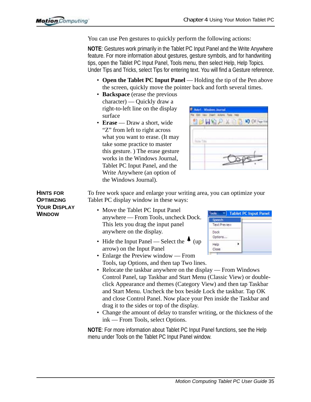You can use Pen gestures to quickly perform the following actions:

**NOTE**: Gestures work primarily in the Tablet PC Input Panel and the Write Anywhere feature. For more information about gestures, gesture symbols, and for handwriting tips, open the Tablet PC Input Panel, Tools menu, then select Help, Help Topics. Under Tips and Tricks, select Tips for entering text. You will find a Gesture reference.

- **Open the Tablet PC Input Panel** Holding the tip of the Pen above the screen, quickly move the pointer back and forth several times.
- **Backspace** (erase the previous character) — Quickly draw a right-to-left line on the display surface
- **Erase** Draw a short, wide "Z" from left to right across what you want to erase. (It may take some practice to master this gesture. ) The erase gesture works in the Windows Journal, Tablet PC Input Panel, and the Write Anywhere (an option of the Windows Journal).



To free work space and enlarge your writing area, you can optimize your Tablet PC display window in these ways:

- Move the Tablet PC Input Panel anywhere — From Tools, uncheck Dock. This lets you drag the input panel anywhere on the display.
- Hide the Input Panel Select the  $\triangle$  (up) arrow) on the Input Panel
- Tablet PC Input Panel **Tools** Speech **Text Preview** Dack Options... Help ٠ Close
- Enlarge the Preview window From Tools, tap Options, and then tap Two lines.
- Relocate the taskbar anywhere on the display From Windows Control Panel, tap Taskbar and Start Menu (Classic View) or doubleclick Appearance and themes (Category View) and then tap Taskbar and Start Menu. Uncheck the box beside Lock the taskbar. Tap OK and close Control Panel. Now place your Pen inside the Taskbar and drag it to the sides or top of the display.
- Change the amount of delay to transfer writing, or the thickness of the ink — From Tools, select Options.

**NOTE**: For more information about Tablet PC Input Panel functions, see the Help menu under Tools on the Tablet PC Input Panel window.

**HINTS FOR OPTIMIZING YOUR DISPLAY WINDOW**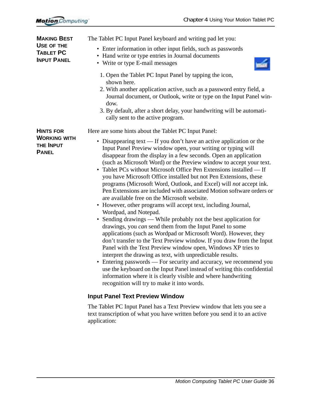<span id="page-38-0"></span>

| <b>MAKING BEST</b>                                   | The Tablet PC Input Panel keyboard and writing pad let you:                                                                                                                                                                                                                                                                                                                                                                                                                                                                                                                                                                                                                                                                                                                                                                                                                                                                                                                                                                                                                                                                                                                                                                                                                                                                                                                                          |
|------------------------------------------------------|------------------------------------------------------------------------------------------------------------------------------------------------------------------------------------------------------------------------------------------------------------------------------------------------------------------------------------------------------------------------------------------------------------------------------------------------------------------------------------------------------------------------------------------------------------------------------------------------------------------------------------------------------------------------------------------------------------------------------------------------------------------------------------------------------------------------------------------------------------------------------------------------------------------------------------------------------------------------------------------------------------------------------------------------------------------------------------------------------------------------------------------------------------------------------------------------------------------------------------------------------------------------------------------------------------------------------------------------------------------------------------------------------|
| USE OF THE<br><b>TABLET PC</b><br><b>INPUT PANEL</b> | • Enter information in other input fields, such as passwords<br>• Hand write or type entries in Journal documents<br>• Write or type E-mail messages                                                                                                                                                                                                                                                                                                                                                                                                                                                                                                                                                                                                                                                                                                                                                                                                                                                                                                                                                                                                                                                                                                                                                                                                                                                 |
|                                                      | 1. Open the Tablet PC Input Panel by tapping the icon,<br>shown here.<br>2. With another application active, such as a password entry field, a<br>Journal document, or Outlook, write or type on the Input Panel win-<br>dow.<br>3. By default, after a short delay, your handwriting will be automati-<br>cally sent to the active program.                                                                                                                                                                                                                                                                                                                                                                                                                                                                                                                                                                                                                                                                                                                                                                                                                                                                                                                                                                                                                                                         |
| <b>HINTS FOR</b>                                     | Here are some hints about the Tablet PC Input Panel:                                                                                                                                                                                                                                                                                                                                                                                                                                                                                                                                                                                                                                                                                                                                                                                                                                                                                                                                                                                                                                                                                                                                                                                                                                                                                                                                                 |
| <b>WORKING WITH</b><br>THE INPUT<br><b>PANEL</b>     | Disappearing text $-$ If you don't have an active application or the<br>٠<br>Input Panel Preview window open, your writing or typing will<br>disappear from the display in a few seconds. Open an application<br>(such as Microsoft Word) or the Preview window to accept your text.<br>Tablet PCs without Microsoft Office Pen Extensions installed — If<br>you have Microsoft Office installed but not Pen Extensions, these<br>programs (Microsoft Word, Outlook, and Excel) will not accept ink.<br>Pen Extensions are included with associated Motion software orders or<br>are available free on the Microsoft website.<br>• However, other programs will accept text, including Journal,<br>Wordpad, and Notepad.<br>• Sending drawings — While probably not the best application for<br>drawings, you can send them from the Input Panel to some<br>applications (such as Wordpad or Microsoft Word). However, they<br>don't transfer to the Text Preview window. If you draw from the Input<br>Panel with the Text Preview window open, Windows XP tries to<br>interpret the drawing as text, with unpredictable results.<br>• Entering passwords — For security and accuracy, we recommend you<br>use the keyboard on the Input Panel instead of writing this confidential<br>information where it is clearly visible and where handwriting<br>recognition will try to make it into words. |
|                                                      | <b>Input Panel Text Preview Window</b>                                                                                                                                                                                                                                                                                                                                                                                                                                                                                                                                                                                                                                                                                                                                                                                                                                                                                                                                                                                                                                                                                                                                                                                                                                                                                                                                                               |
|                                                      | The Tablet PC Input Panel has a Text Preview window that lets you see a<br>text transcription of what you have written before you send it to an active                                                                                                                                                                                                                                                                                                                                                                                                                                                                                                                                                                                                                                                                                                                                                                                                                                                                                                                                                                                                                                                                                                                                                                                                                                               |

<span id="page-38-1"></span>application: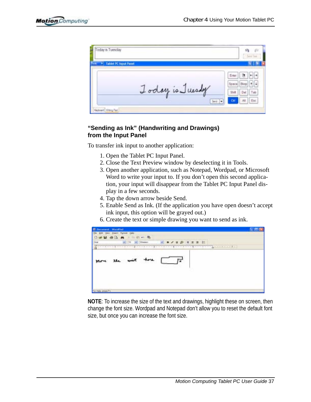| * Tablet PC triput Panel |                                      |
|--------------------------|--------------------------------------|
|                          | Erte<br>$+1 +$<br>Space Bksp   1   4 |
| oday is Juesday          | Del: Tab<br>SW                       |
| ۰<br><b>TERRITORY</b>    | Exc<br>Cut<br>At                     |

#### **"Sending as Ink" (Handwriting and Drawings) from the Input Panel**

To transfer ink input to another application:

- 1. Open the Tablet PC Input Panel.
- 2. Close the Text Preview window by deselecting it in Tools.
- 3. Open another application, such as Notepad, Wordpad, or Microsoft Word to write your input to. If you don't open this second application, your input will disappear from the Tablet PC Input Panel display in a few seconds.
- 4. Tap the down arrow beside Send.
- 5. Enable Send as Ink. (If the application you have open doesn't accept ink input, this option will be grayed out.)
- 6. Create the text or simple drawing you want to send as ink.



**NOTE**: To increase the size of the text and drawings, highlight these on screen, then change the font size. Wordpad and Notepad don't allow you to reset the default font size, but once you can increase the font size.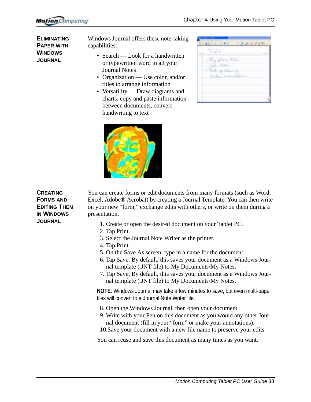**ELIMINATING PAPER WITH WINDOWS JOURNAL**

Windows Journal offers these note-taking capabilities:

- Search Look for a handwritten or typewritten word in all your Journal Notes
- Organization Use color, and/or titles to arrange information
- Versatility Draw diagrams and charts, copy and paste information between documents, convert handwriting to text

| $T_0$ $D_0$       |  |  |
|-------------------|--|--|
|                   |  |  |
| Fay plore felt    |  |  |
| Fall Mary         |  |  |
| The A up pleasure |  |  |
| Make howcochine   |  |  |
|                   |  |  |
|                   |  |  |
|                   |  |  |



#### **CREATING FORMS AND EDITING THEM IN WINDOWS JOURNAL**

You can create forms or edit documents from many formats (such as Word, Excel, Adobe® Acrobat) by creating a Journal Template. You can then write on your new "form," exchange edits with others, or write on them during a presentation.

- 1. Create or open the desired document on your Tablet PC.
- 2. Tap Print.
- 3. Select the Journal Note Writer as the printer.
- 4. Tap Print.
- 5. On the Save As screen, type in a name for the document.
- 6. Tap Save. By default, this saves your document as a Windows Journal template (.JNT file) to My Documents/My Notes.
- 7. Tap Save. By default, this saves your document as a Windows Journal template (.JNT file) to My Documents/My Notes.

**NOTE**: Windows Journal may take a few minutes to save, but even multi-page files will convert to a Journal Note Writer file.

- 8. Open the Windows Journal, then open your document.
- 9. Write with your Pen on this document as you would any other Journal document (fill in your "form" or make your annotations).

10.Save your document with a new file name to preserve your edits.

You can reuse and save this document as many times as you want.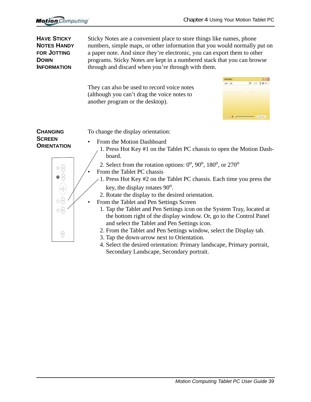<span id="page-41-0"></span>

| <b>HAVE STICKY</b><br><b>NOTES HANDY</b><br><b>FOR JOTTING</b><br><b>DOWN</b><br><b>INFORMATION</b>           | Sticky Notes are a convenient place to store things like names, phone<br>numbers, simple maps, or other information that you would normally put on<br>a paper note. And since they're electronic, you can export them to other<br>programs. Sticky Notes are kept in a numbered stack that you can browse<br>through and discard when you're through with them.                                                                                                                                                                                                                                                                                                                                                                                                                       |
|---------------------------------------------------------------------------------------------------------------|---------------------------------------------------------------------------------------------------------------------------------------------------------------------------------------------------------------------------------------------------------------------------------------------------------------------------------------------------------------------------------------------------------------------------------------------------------------------------------------------------------------------------------------------------------------------------------------------------------------------------------------------------------------------------------------------------------------------------------------------------------------------------------------|
|                                                                                                               | They can also be used to record voice notes<br>(although you can't drag the voice notes to<br>another program or the desktop).                                                                                                                                                                                                                                                                                                                                                                                                                                                                                                                                                                                                                                                        |
| <b>CHANGING</b>                                                                                               | To change the display orientation:                                                                                                                                                                                                                                                                                                                                                                                                                                                                                                                                                                                                                                                                                                                                                    |
| <b>SCREEN</b><br><b>ORIENTATION</b><br>$\otimes$ $\circledcirc$<br>0<br>$\circledcirc$<br>$\circledcirc$<br>0 | From the Motion Dashboard<br>1. Press Hot Key #1 on the Tablet PC chassis to open the Motion Dash-<br>board.<br>2. Select from the rotation options: $0^\circ$ , $90^\circ$ , $180^\circ$ , or $270^\circ$<br>From the Tablet PC chassis<br>1. Press Hot Key #2 on the Tablet PC chassis. Each time you press the<br>key, the display rotates 90 <sup>o</sup> .<br>2. Rotate the display to the desired orientation.<br>From the Tablet and Pen Settings Screen<br>1. Tap the Tablet and Pen Settings icon on the System Tray, located at<br>the bottom right of the display window. Or, go to the Control Panel<br>and select the Tablet and Pen Settings icon.<br>2. From the Tablet and Pen Settings window, select the Display tab.<br>3. Tap the down-arrow next to Orientation. |
|                                                                                                               | 4. Select the desired orientation: Primary landscape, Primary portrait,<br>Secondary Landscape, Secondary portrait.                                                                                                                                                                                                                                                                                                                                                                                                                                                                                                                                                                                                                                                                   |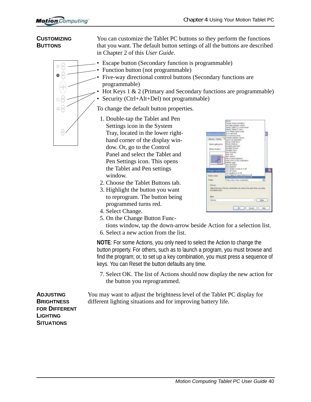#### **CUSTOMIZING BUTTONS**

You can customize the Tablet PC buttons so they perform the functions that you want. The default button settings of all the buttons are described in Chapter 2 of this *User Guide*.

 $\otimes$   $\circledcirc$  $\bullet$  (0)  $\circledcirc$  $\circledcirc$  $\circledcirc$ 

<span id="page-42-1"></span>• Escape button (Secondary function is programmable)

- Function button (not programmable)
	- Five-way directional control buttons (Secondary functions are programmable)
		- Hot Keys 1 & 2 (Primary and Secondary functions are programmable)
	- Security (Ctrl+Alt+Del) not programmable)

To change the default button properties.

- 1. Double-tap the Tablet and Pen Settings icon in the System Tray, located in the lower righthand corner of the display window. Or, go to the Control Panel and select the Tablet and Pen Settings icon. This opens the Tablet and Pen settings window.
- <span id="page-42-3"></span>2. Choose the Tablet Buttons tab.
- 3. Highlight the button you want to reprogram. The button being programmed turns red.
- 4. Select Change.
- 5. On the Change Button Func-
- tions window, tap the down-arrow beside Action for a selection list.
- 6. Select a new action from the list.

**NOTE**: For some Actions, you only need to select the Action to change the button property. For others, such as to launch a program, you must browse and find the program; or, to set up a key combination, you must press a sequence of keys. You can Reset the button defaults any time.

<span id="page-42-0"></span>7. Select OK. The list of Actions should now display the new action for the button you reprogrammed.

You may want to adjust the brightness level of the Tablet PC display for different lighting situations and for improving battery life.

<span id="page-42-4"></span>**ADJUSTING BRIGHTNESS FOR DIFFERENT LIGHTING SITUATIONS**

<span id="page-42-2"></span>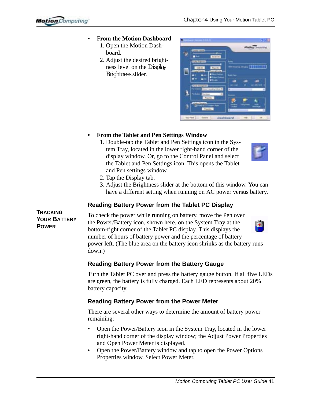- F**rom the Motion Dashboard**
	- 1. Open the Motion Dashboard.
	- 2. Adjust the desired brightness level on the Display Brightness slider.



#### **• From the Tablet and Pen Settings Window**

1. Double-tap the Tablet and Pen Settings icon in the System Tray, located in the lower right-hand corner of the display window. Or, go to the Control Panel and select the Tablet and Pen Settings icon. This opens the Tablet and Pen settings window.



- 2. Tap the Display tab.
- 3. Adjust the Brightness slider at the bottom of this window. You can have a different setting when running on AC power versus battery.

#### **Reading Battery Power from the Tablet PC Display**

**TRACKING YOUR BATTERY POWER**

To check the power while running on battery, move the Pen over the Power/Battery icon, shown here, on the System Tray at the bottom-right corner of the Tablet PC display. This displays the number of hours of battery power and the percentage of battery power left. (The blue area on the battery icon shrinks as the battery runs down.)

#### **Reading Battery Power from the Battery Gauge**

Turn the Tablet PC over and press the battery gauge button. If all five LEDs are green, the battery is fully charged. Each LED represents about 20% battery capacity.

#### **Reading Battery Power from the Power Meter**

There are several other ways to determine the amount of battery power remaining:

- Open the Power/Battery icon in the System Tray, located in the lower right-hand corner of the display window; the Adjust Power Properties and Open Power Meter is displayed.
- Open the Power/Battery window and tap to open the Power Options Properties window. Select Power Meter.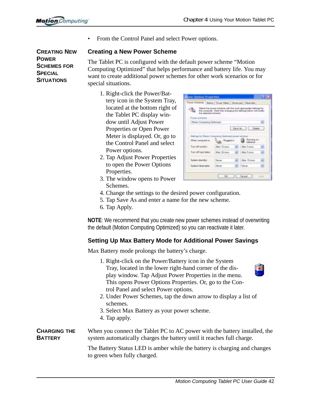• From the Control Panel and select Power options.

#### **Creating a New Power Scheme**

The Tablet PC is configured with the default power scheme "Motion Computing Optimized" that helps performance and battery life. You may want to create additional power schemes for other work scenarios or for special situations.

- 1. Right-click the Power/Battery icon in the System Tray, located at the bottom right of the Tablet PC display window until Adjust Power Properties or Open Power Meter is displayed. Or, go to the Control Panel and select Power options.
- 2. Tap Adjust Power Properties to open the Power Options Properties.

3. The window opens to Power

- <span id="page-44-0"></span>the power scheme a<br>reputer. Side that of in Cimputing Obtimuse **Capital** print bed form OK Canadi
- Schemes. 4. Change the settings to the desired power configuration.
- 5. Tap Save As and enter a name for the new scheme.
- 6. Tap Apply.

**NOTE**: We recommend that you create new power schemes instead of overwriting the default (Motion Computing Optimized) so you can reactivate it later.

#### **Setting Up Max Battery Mode for Additional Power Savings**

Max Battery mode prolongs the battery's charge.

1. Right-click on the Power/Battery icon in the System  $\bullet$ Tray, located in the lower right-hand corner of the display window. Tap Adjust Power Properties in the menu. This opens Power Options Properties. Or, go to the Control Panel and select Power options. 2. Under Power Schemes, tap the down arrow to display a list of schemes. 3. Select Max Battery as your power scheme. 4. Tap apply. **CHARGING THE** When you connect the Tablet PC to AC power with the battery installed, the **BATTERY** system automatically charges the battery until it reaches full charge.

> The Battery Status LED is amber while the battery is charging and changes to green when fully charged.

**CREATING NEW POWER SCHEMES FOR SPECIAL SITUATIONS**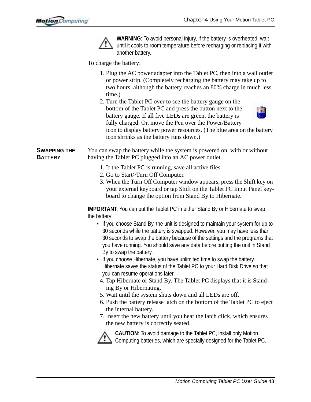

**WARNING**: To avoid personal injury, if the battery is overheated, wait until it cools to room temperature before recharging or replacing it with another battery.

To charge the battery:

- 1. Plug the AC power adapter into the Tablet PC, then into a wall outlet or power strip. (Completely recharging the battery may take up to two hours, although the battery reaches an 80% charge in much less time.)
- 2. Turn the Tablet PC over to see the battery gauge on the bottom of the Tablet PC and press the button next to the battery gauge. If all five LEDs are green, the battery is fully charged. Or, move the Pen over the Power/Battery icon to display battery power resources. (The blue area on the battery icon shrinks as the battery runs down.)



**SWAPPING THE BATTERY** You can swap the battery while the system is powered on, with or without having the Tablet PC plugged into an AC power outlet.

- 1. If the Tablet PC is running, save all active files.
- 2. Go to Start>Turn Off Computer.
- 3. When the Turn Off Computer window appears, press the Shift key on your external keyboard or tap Shift on the Tablet PC Input Panel keyboard to change the option from Stand By to Hibernate.

**IMPORTANT:** You can put the Tablet PC in either Stand By or Hibernate to swap the battery:

- If you choose Stand By, the unit is designed to maintain your system for up to 30 seconds while the battery is swapped. However, you may have less than 30 seconds to swap the battery because of the settings and the programs that you have running. You should save any data before putting the unit in Stand By to swap the battery.
- If you choose Hibernate, you have unlimited time to swap the battery. Hibernate saves the status of the Tablet PC to your Hard Disk Drive so that you can resume operations later.
- 4. Tap Hibernate or Stand By. The Tablet PC displays that it is Standing By or Hibernating.
- 5. Wait until the system shuts down and all LEDs are off.
- 6. Push the battery release latch on the bottom of the Tablet PC to eject the internal battery.
- 7. Insert the new battery until you hear the latch click, which ensures the new battery is correctly seated.



**CAUTION**: To avoid damage to the Tablet PC, install only Motion  $\sum$  Computing batteries, which are specially designed for the Tablet PC.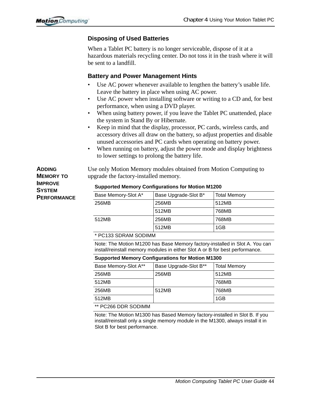#### <span id="page-46-0"></span>**Disposing of Used Batteries**

When a Tablet PC battery is no longer serviceable, dispose of it at a hazardous materials recycling center. Do not toss it in the trash where it will be sent to a landfill.

#### <span id="page-46-1"></span>**Battery and Power Management Hints**

- Use AC power whenever available to lengthen the battery's usable life. Leave the battery in place when using AC power.
- Use AC power when installing software or writing to a CD and, for best performance, when using a DVD player.
- When using battery power, if you leave the Tablet PC unattended, place the system in Stand By or Hibernate.
- Keep in mind that the display, processor, PC cards, wireless cards, and accessory drives all draw on the battery, so adjust properties and disable unused accessories and PC cards when operating on battery power.
- When running on battery, adjust the power mode and display brightness to lower settings to prolong the battery life.

**ADDING MEMORY TO IMPROVE SYSTEM PERFORMANCE** Use only Motion Memory modules obtained from Motion Computing to upgrade the factory-installed memory.

| Base Memory-Slot A* | Base Upgrade-Slot B* | <b>Total Memory</b> |
|---------------------|----------------------|---------------------|
| 256MB               | 256MB                | 512MB               |
|                     | 512MB                | 768MB               |
| 512MB               | 256MB                | 768MB               |
|                     | 512MB                | 1GB                 |

#### **Supported Memory Configurations for Motion M1200**

\* PC133 SDRAM SODIMM

Note: The Motion M1200 has Base Memory factory-installed in Slot A. You can install/reinstall memory modules in either Slot A or B for best performance.

#### **Supported Memory Configurations for Motion M1300**

| Base Memory-Slot A** | Base Upgrade-Slot B** | <b>Total Memory</b> |
|----------------------|-----------------------|---------------------|
| 256MB                | 256MB                 | 512MB               |
| 512MB                |                       | 768MB               |
| 256MB                | 512MB                 | 768MB               |
| 512MB                |                       | 1GB                 |
| $*$ DO266 DDD SODIMM |                       |                     |

\*\* PC266 DDR SODIMM

Note: The Motion M1300 has Based Memory factory-installed in Slot B. If you install/reinstall only a single memory module in the M1300, always install it in Slot B for best performance.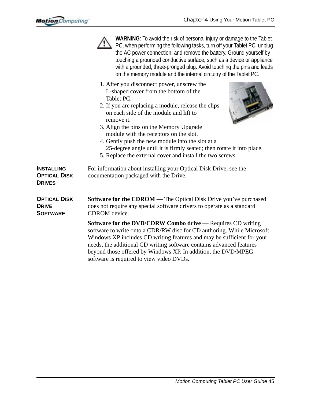|                                                           | WARNING: To avoid the risk of personal injury or damage to the Tablet<br>PC, when performing the following tasks, turn off your Tablet PC, unplug<br>the AC power connection, and remove the battery. Ground yourself by<br>touching a grounded conductive surface, such as a device or appliance<br>with a grounded, three-pronged plug. Avoid touching the pins and leads<br>on the memory module and the internal circuitry of the Tablet PC.                                                |
|-----------------------------------------------------------|-------------------------------------------------------------------------------------------------------------------------------------------------------------------------------------------------------------------------------------------------------------------------------------------------------------------------------------------------------------------------------------------------------------------------------------------------------------------------------------------------|
|                                                           | 1. After you disconnect power, unscrew the<br>L-shaped cover from the bottom of the<br>Tablet PC.<br>2. If you are replacing a module, release the clips<br>on each side of the module and lift to<br>remove it.<br>3. Align the pins on the Memory Upgrade<br>module with the receptors on the slot.<br>4. Gently push the new module into the slot at a<br>25-degree angle until it is firmly seated; then rotate it into place.<br>5. Replace the external cover and install the two screws. |
| <b>INSTALLING</b><br><b>OPTICAL DISK</b><br><b>DRIVES</b> | For information about installing your Optical Disk Drive, see the<br>documentation packaged with the Drive.                                                                                                                                                                                                                                                                                                                                                                                     |
| <b>OPTICAL DISK</b><br><b>DRIVE</b><br><b>SOFTWARE</b>    | <b>Software for the CDROM</b> — The Optical Disk Drive you've purchased<br>does not require any special software drivers to operate as a standard<br>CDROM device.                                                                                                                                                                                                                                                                                                                              |
|                                                           | <b>Software for the DVD/CDRW Combo drive</b> — Requires CD writing<br>software to write onto a CDR/RW disc for CD authoring. While Microsoft<br>Windows XP includes CD writing features and may be sufficient for your<br>needs, the additional CD writing software contains advanced features<br>beyond those offered by Windows XP. In addition, the DVD/MPEG                                                                                                                                 |

software is required to view video DVDs.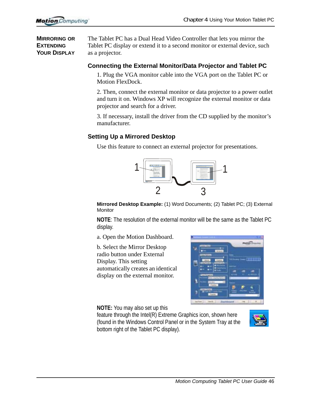**MIRRORING OR EXTENDING YOUR DISPLAY** The Tablet PC has a Dual Head Video Controller that lets you mirror the Tablet PC display or extend it to a second monitor or external device, such as a projector.

#### **Connecting the External Monitor/Data Projector and Tablet PC**

1. Plug the VGA monitor cable into the VGA port on the Tablet PC or Motion FlexDock.

2. Then, connect the external monitor or data projector to a power outlet and turn it on. Windows XP will recognize the external monitor or data projector and search for a driver.

3. If necessary, install the driver from the CD supplied by the monitor's manufacturer.

#### **Setting Up a Mirrored Desktop**

Use this feature to connect an external projector for presentations.



**Mirrored Desktop Example:** (1) Word Documents; (2) Tablet PC; (3) External **Monitor** 

**NOTE**: The resolution of the external monitor will be the same as the Tablet PC display.

a. Open the Motion Dashboard.

b. Select the Mirror Desktop radio button under External Display. This setting automatically creates an identical display on the external monitor.



**NOTE:** You may also set up this

feature through the Intel(R) Extreme Graphics icon, shown here (found in the Windows Control Panel or in the System Tray at the bottom right of the Tablet PC display).

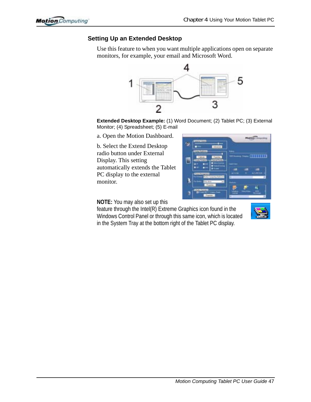#### **Setting Up an Extended Desktop**

Use this feature to when you want multiple applications open on separate monitors, for example, your email and Microsoft Word.



**Extended Desktop Example:** (1) Word Document; (2) Tablet PC; (3) External Monitor; (4) Spreadsheet; (5) E-mail

a. Open the Motion Dashboard.

b. Select the Extend Desktop radio button under External Display. This setting automatically extends the Tablet PC display to the external monitor.



**NOTE:** You may also set up this

feature through the Intel(R) Extreme Graphics icon found in the Windows Control Panel or through this same icon, which is located in the System Tray at the bottom right of the Tablet PC display.

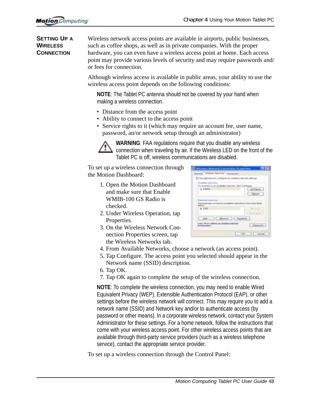**SETTING UP A WIRELESS CONNECTION**

Wireless network access points are available in airports, public businesses, such as coffee shops, as well as in private companies. With the proper hardware, you can even have a wireless access point at home. Each access point may provide various levels of security and may require passwords and/ or fees for connection.

Although wireless access is available in public areas, your ability to use the wireless access point depends on the following conditions:

**NOTE**: The Tablet PC antenna should not be covered by your hand when making a wireless connection.

- Distance from the access point
- Ability to connect to the access point
- Service rights to it (which may require an account fee, user name, password, an/or network setup through an administrator)



**WARNING**: FAA regulations require that you disable any wireless connection when traveling by air. If the Wireless LED on the front of the Tablet PC is off, wireless communications are disabled.

To set up a wireless connection through the Motion Dashboard:

- 1. Open the Motion Dashboard and make sure that Enable WMIB-100 GS Radio is checked.
- 2. Under Wireless Operation, tap Properties.
- 3. On the Wireless Network Connection Properties screen, tap the Wireless Networks tab.

<span id="page-50-0"></span>

| Wireless Hatsuck Consection Properties.                   | <b>SP EX</b>        |
|-----------------------------------------------------------|---------------------|
| General Wreless Nationex Advanced                         |                     |
| [27] Han Windows is configure my mindees restyork estimps |                     |
| Paradiatrio contenedos: -                                 |                     |
| To convisibility an available nations, usus Configure     |                     |
| 1 4 lichards                                              | - Griffigure        |
|                                                           | Fightest:           |
| advanced contractable                                     |                     |
| cally correspond to accalable                             |                     |
| <b>LEED</b>                                               |                     |
|                                                           | <b>Floors green</b> |
| bot   Denve   Popeles                                     |                     |
| Lown show setting an aimless ratema.<br>sortiaussion.     | Morwed.             |
|                                                           | OK Canad            |

- 4. From Available Networks, choose a network (an access point).
- 5. Tap Configure. The access point you selected should appear in the Network name (SSID) description.
- 6. Tap OK.
- 7. Tap OK again to complete the setup of the wireless connection.

**NOTE**: To complete the wireless connection, you may need to enable Wired Equivalent Privacy (WEP), Extensible Authentication Protocol (EAP), or other settings before the wireless network will connect. This may require you to add a network name (SSID) and Network key and/or to authenticate access (by password or other means). In a corporate wireless network, contact your System Administrator for these settings. For a home network, follow the instructions that come with your wireless access point. For other wireless access points that are available through third-party service providers (such as a wireless telephone service), contact the appropriate service provider.

To set up a wireless connection through the Control Panel: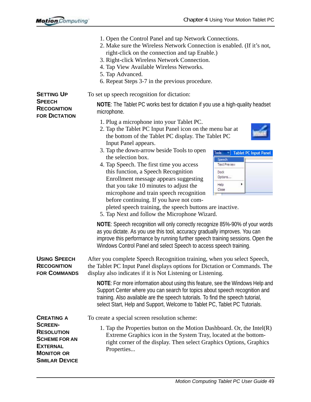<span id="page-51-1"></span><span id="page-51-0"></span>

|                                                                                                                              | 1. Open the Control Panel and tap Network Connections.<br>2. Make sure the Wireless Network Connection is enabled. (If it's not,<br>right-click on the connection and tap Enable.)<br>3. Right-click Wireless Network Connection.<br>4. Tap View Available Wireless Networks.<br>5. Tap Advanced.<br>6. Repeat Steps 3-7 in the previous procedure.                                                                                                                                                                                                                                                                                                                                                                                                                                                                                                                                                                                                                                             |
|------------------------------------------------------------------------------------------------------------------------------|-------------------------------------------------------------------------------------------------------------------------------------------------------------------------------------------------------------------------------------------------------------------------------------------------------------------------------------------------------------------------------------------------------------------------------------------------------------------------------------------------------------------------------------------------------------------------------------------------------------------------------------------------------------------------------------------------------------------------------------------------------------------------------------------------------------------------------------------------------------------------------------------------------------------------------------------------------------------------------------------------|
| <b>SETTING UP</b>                                                                                                            | To set up speech recognition for dictation:                                                                                                                                                                                                                                                                                                                                                                                                                                                                                                                                                                                                                                                                                                                                                                                                                                                                                                                                                     |
| <b>SPEECH</b><br><b>RECOGNITION</b><br><b>FOR DICTATION</b>                                                                  | <b>NOTE:</b> The Tablet PC works best for dictation if you use a high-quality headset<br>microphone.                                                                                                                                                                                                                                                                                                                                                                                                                                                                                                                                                                                                                                                                                                                                                                                                                                                                                            |
|                                                                                                                              | 1. Plug a microphone into your Tablet PC.<br>2. Tap the Tablet PC Input Panel icon on the menu bar at<br>the bottom of the Tablet PC display. The Tablet PC<br>Input Panel appears.<br>3. Tap the down-arrow beside Tools to open<br><b>Tablet PC Input Panel</b><br>Tools<br>the selection box.<br>Speech<br>4. Tap Speech. The first time you access<br><b>Text Preview</b><br>this function, a Speech Recognition<br>Dock.<br>Options<br>Enrollment message appears suggesting<br>Help<br>that you take 10 minutes to adjust the<br>Close<br>microphone and train speech recognition<br>before continuing. If you have not com-<br>pleted speech training, the speech buttons are inactive.<br>5. Tap Next and follow the Microphone Wizard.<br>NOTE: Speech recognition will only correctly recognize 85%-90% of your words<br>as you dictate. As you use this tool, accuracy gradually improves. You can<br>improve this performance by running further speech training sessions. Open the |
|                                                                                                                              | Windows Control Panel and select Speech to access speech training.                                                                                                                                                                                                                                                                                                                                                                                                                                                                                                                                                                                                                                                                                                                                                                                                                                                                                                                              |
| <b>USING SPEECH</b><br><b>RECOGNITION</b><br><b>FOR COMMANDS</b>                                                             | After you complete Speech Recognition training, when you select Speech,<br>the Tablet PC Input Panel displays options for Dictation or Commands. The<br>display also indicates if it is Not Listening or Listening.                                                                                                                                                                                                                                                                                                                                                                                                                                                                                                                                                                                                                                                                                                                                                                             |
|                                                                                                                              | NOTE: For more information about using this feature, see the Windows Help and<br>Support Center where you can search for topics about speech recognition and<br>training. Also available are the speech tutorials. To find the speech tutorial,<br>select Start, Help and Support, Welcome to Tablet PC, Tablet PC Tutorials.                                                                                                                                                                                                                                                                                                                                                                                                                                                                                                                                                                                                                                                                   |
| <b>CREATING A</b>                                                                                                            | To create a special screen resolution scheme:                                                                                                                                                                                                                                                                                                                                                                                                                                                                                                                                                                                                                                                                                                                                                                                                                                                                                                                                                   |
| <b>SCREEN-</b><br><b>RESOLUTION</b><br><b>SCHEME FOR AN</b><br><b>EXTERNAL</b><br><b>MONITOR OR</b><br><b>SIMILAR DEVICE</b> | 1. Tap the Properties button on the Motion Dashboard. Or, the Intel $(R)$<br>Extreme Graphics icon in the System Tray, located at the bottom-<br>right corner of the display. Then select Graphics Options, Graphics<br>Properties                                                                                                                                                                                                                                                                                                                                                                                                                                                                                                                                                                                                                                                                                                                                                              |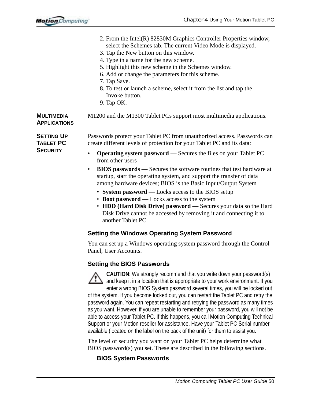|                                                          | 2. From the Intel(R) 82830M Graphics Controller Properties window,<br>select the Schemes tab. The current Video Mode is displayed.<br>3. Tap the New button on this window.<br>4. Type in a name for the new scheme.<br>5. Highlight this new scheme in the Schemes window.<br>6. Add or change the parameters for this scheme.<br>7. Tap Save.<br>8. To test or launch a scheme, select it from the list and tap the<br>Invoke button.<br>9. Tap OK. |
|----------------------------------------------------------|-------------------------------------------------------------------------------------------------------------------------------------------------------------------------------------------------------------------------------------------------------------------------------------------------------------------------------------------------------------------------------------------------------------------------------------------------------|
| <b>MULTIMEDIA</b><br><b>APPLICATIONS</b>                 | M1200 and the M1300 Tablet PCs support most multimedia applications.                                                                                                                                                                                                                                                                                                                                                                                  |
| <b>SETTING UP</b><br><b>TABLET PC</b><br><b>SECURITY</b> | Passwords protect your Tablet PC from unauthorized access. Passwords can<br>create different levels of protection for your Tablet PC and its data:                                                                                                                                                                                                                                                                                                    |
|                                                          | <b>Operating system password</b> — Secures the files on your Tablet PC<br>$\bullet$<br>from other users                                                                                                                                                                                                                                                                                                                                               |
|                                                          | <b>BIOS passwords</b> — Secures the software routines that test hardware at<br>$\bullet$<br>startup, start the operating system, and support the transfer of data<br>among hardware devices; BIOS is the Basic Input/Output System                                                                                                                                                                                                                    |
|                                                          | • System password - Locks access to the BIOS setup<br>• Boot password — Locks access to the system<br>• HDD (Hard Disk Drive) password - Secures your data so the Hard<br>Disk Drive cannot be accessed by removing it and connecting it to<br>another Tablet PC                                                                                                                                                                                      |
|                                                          | <b>Setting the Windows Operating System Password</b>                                                                                                                                                                                                                                                                                                                                                                                                  |
|                                                          | You can set up a Windows operating system password through the Control<br>Panel, User Accounts.                                                                                                                                                                                                                                                                                                                                                       |

#### **Setting the BIOS Passwords**



**CAUTION**: We strongly recommend that you write down your password(s) and keep it in a location that is appropriate to your work environment. If you enter a wrong BIOS System password several times, you will be locked out of the system. If you become locked out, you can restart the Tablet PC and retry the password again. You can repeat restarting and retrying the password as many times as you want. However, if you are unable to remember your password, you will not be able to access your Tablet PC. If this happens, you call Motion Computing Technical Support or your Motion reseller for assistance. Have your Tablet PC Serial number

The level of security you want on your Tablet PC helps determine what BIOS password(s) you set. These are described in the following sections.

available (located on the label on the back of the unit) for them to assist you.

#### **BIOS System Passwords**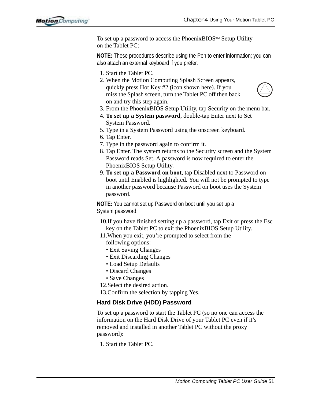To set up a password to access the Phoenix BIOS<sup>TM</sup> Setup Utility on the Tablet PC:

**NOTE:** These procedures describe using the Pen to enter information; you can also attach an external keyboard if you prefer.

- 1. Start the Tablet PC.
- 2. When the Motion Computing Splash Screen appears, quickly press Hot Key #2 (icon shown here). If you miss the Splash screen, turn the Tablet PC off then back on and try this step again.



- <span id="page-53-0"></span>3. From the PhoenixBIOS Setup Utility, tap Security on the menu bar.
- 4. **To set up a System password**, double-tap Enter next to Set System Password.
- 5. Type in a System Password using the onscreen keyboard.
- 6. Tap Enter.
- 7. Type in the password again to confirm it.
- 8. Tap Enter. The system returns to the Security screen and the System Password reads Set. A password is now required to enter the PhoenixBIOS Setup Utility.
- 9. **To set up a Password on boot**, tap Disabled next to Password on boot until Enabled is highlighted. You will not be prompted to type in another password because Password on boot uses the System password.

**NOTE:** You cannot set up Password on boot until you set up a System password.

- 10.If you have finished setting up a password, tap Exit or press the Esc key on the Tablet PC to exit the PhoenixBIOS Setup Utility.
- 11.When you exit, you're prompted to select from the

<span id="page-53-1"></span>following options:

- Exit Saving Changes
- Exit Discarding Changes
- Load Setup Defaults
- Discard Changes
- Save Changes
- 12.Select the desired action.

13.Confirm the selection by tapping Yes.

#### **Hard Disk Drive (HDD) Password**

To set up a password to start the Tablet PC (so no one can access the information on the Hard Disk Drive of your Tablet PC even if it's removed and installed in another Tablet PC without the proxy password):

1. Start the Tablet PC.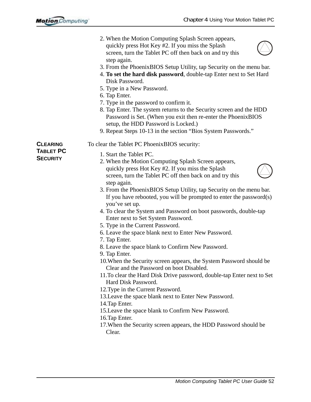<span id="page-54-0"></span>

|                                                 | 2. When the Motion Computing Splash Screen appears,<br>quickly press Hot Key #2. If you miss the Splash<br>screen, turn the Tablet PC off then back on and try this<br>step again.<br>3. From the Phoenix BIOS Setup Utility, tap Security on the menu bar.<br>4. To set the hard disk password, double-tap Enter next to Set Hard<br>Disk Password.<br>5. Type in a New Password.<br>6. Tap Enter.<br>7. Type in the password to confirm it.<br>8. Tap Enter. The system returns to the Security screen and the HDD<br>Password is Set. (When you exit then re-enter the Phoenix BIOS<br>setup, the HDD Password is Locked.)<br>9. Repeat Steps 10-13 in the section "Bios System Passwords."                                                                                                                                                                                                                                                                                                                                                                                                                                                                                                                              |
|-------------------------------------------------|-----------------------------------------------------------------------------------------------------------------------------------------------------------------------------------------------------------------------------------------------------------------------------------------------------------------------------------------------------------------------------------------------------------------------------------------------------------------------------------------------------------------------------------------------------------------------------------------------------------------------------------------------------------------------------------------------------------------------------------------------------------------------------------------------------------------------------------------------------------------------------------------------------------------------------------------------------------------------------------------------------------------------------------------------------------------------------------------------------------------------------------------------------------------------------------------------------------------------------|
| <b>CLEARING</b><br>Tablet PC<br><b>SECURITY</b> | To clear the Tablet PC PhoenixBIOS security:<br>1. Start the Tablet PC.<br>2. When the Motion Computing Splash Screen appears,<br>quickly press Hot Key #2. If you miss the Splash<br>screen, turn the Tablet PC off then back on and try this<br>step again.<br>3. From the Phoenix BIOS Setup Utility, tap Security on the menu bar.<br>If you have rebooted, you will be prompted to enter the password $(s)$<br>you've set up.<br>4. To clear the System and Password on boot passwords, double-tap<br>Enter next to Set System Password.<br>5. Type in the Current Password.<br>6. Leave the space blank next to Enter New Password.<br>7. Tap Enter.<br>8. Leave the space blank to Confirm New Password.<br>9. Tap Enter.<br>10. When the Security screen appears, the System Password should be<br>Clear and the Password on boot Disabled.<br>11. To clear the Hard Disk Drive password, double-tap Enter next to Set<br>Hard Disk Password.<br>12. Type in the Current Password.<br>13. Leave the space blank next to Enter New Password.<br>14. Tap Enter.<br>15. Leave the space blank to Confirm New Password.<br>16. Tap Enter.<br>17. When the Security screen appears, the HDD Password should be<br>Clear. |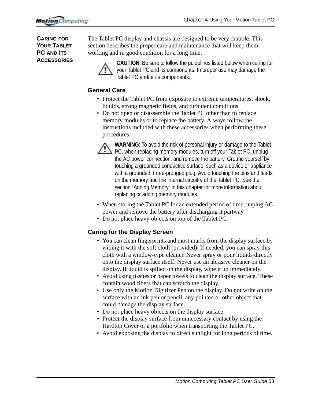**CARING FOR YOUR TABLET PC AND ITS ACCESSORIES** The Tablet PC display and chassis are designed to be very durable. This section describes the proper care and maintenance that will keep them working and in good condition for a long time.



**CAUTION**: Be sure to follow the guidelines listed below when caring for your Tablet PC and its components. Improper use may damage the Tablet PC and/or its components.

#### **General Care**

- Protect the Tablet PC from exposure to extreme temperatures, shock, liquids, strong magnetic fields, and turbulent conditions.
- Do not open or disassemble the Tablet PC other than to replace memory modules or to replace the battery. Always follow the instructions included with these accessories when performing these procedures.



**WARNING**: To avoid the risk of personal injury or damage to the Tablet  $\sum$  PC, when replacing memory modules, turn off your Tablet PC, unplug the AC power connection, and remove the battery. Ground yourself by touching a grounded conductive surface, such as a device or appliance with a grounded, three-pronged plug. Avoid touching the pins and leads on the memory and the internal circuitry of the Tablet PC. See the section "Adding Memory" in this chapter for more information about replacing or adding memory modules.

- <span id="page-55-0"></span>• When storing the Tablet PC for an extended period of time, unplug AC power and remove the battery after discharging it partway.
- <span id="page-55-3"></span>• Do not place heavy objects on top of the Tablet PC.

#### **Caring for the Display Screen**

- <span id="page-55-2"></span><span id="page-55-1"></span>• You can clean fingerprints and most marks from the display surface by wiping it with the soft cloth (provided). If needed, you can spray this cloth with a window-type cleaner. Never spray or pour liquids directly onto the display surface itself. Never use an abrasive cleaner on the display. If liquid is spilled on the display, wipe it up immediately.
- Avoid using tissues or paper towels to clean the display surface. These contain wood fibers that can scratch the display.
- Use only the Motion Digitizer Pen on the display. Do not write on the surface with an ink pen or pencil, any pointed or other object that could damage the display surface.
- Do not place heavy objects on the display surface.
- Protect the display surface from unnecessary contact by using the Hardtop Cover or a portfolio when transporting the Tablet PC.
- Avoid exposing the display to direct sunlight for long periods of time.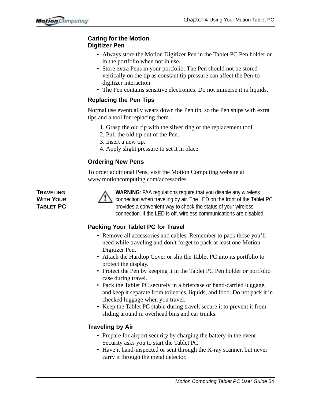#### **Caring for the Motion Digitizer Pen**

- Always store the Motion Digitizer Pen in the Tablet PC Pen holder or in the portfolio when not in use.
- Store extra Pens in your portfolio. The Pen should not be stored vertically on the tip as constant tip pressure can affect the Pen-todigitizer interaction.
- The Pen contains sensitive electronics. Do not immerse it in liquids.

#### **Replacing the Pen Tips**

Normal use eventually wears down the Pen tip, so the Pen ships with extra tips and a tool for replacing them.

- 1. Grasp the old tip with the silver ring of the replacement tool.
- 2. Pull the old tip out of the Pen.
- 3. Insert a new tip.
- 4. Apply slight pressure to set it in place.

#### **Ordering New Pens**

To order additional Pens, visit the Motion Computing website at www.motioncomputing.com/accessories.

**TRAVELING WITH YOUR TABLET PC**



**WARNING**: FAA regulations require that you disable any wireless connection when traveling by air. The LED on the front of the Tablet PC provides a convenient way to check the status of your wireless connection. If the LED is off, wireless communications are disabled.

#### **Packing Your Tablet PC for Travel**

- Remove all accessories and cables. Remember to pack those you'll need while traveling and don't forget to pack at least one Motion Digitizer Pen.
- Attach the Hardtop Cover or slip the Tablet PC into its portfolio to protect the display.
- Protect the Pen by keeping it in the Tablet PC Pen holder or portfolio case during travel.
- Pack the Tablet PC securely in a briefcase or hand-carried luggage, and keep it separate from toiletries, liquids, and food. Do not pack it in checked luggage when you travel.
- Keep the Tablet PC stable during travel; secure it to prevent it from sliding around in overhead bins and car trunks.

#### **Traveling by Air**

- Prepare for airport security by charging the battery in the event Security asks you to start the Tablet PC.
- Have it hand-inspected or sent through the X-ray scanner, but never carry it through the metal detector.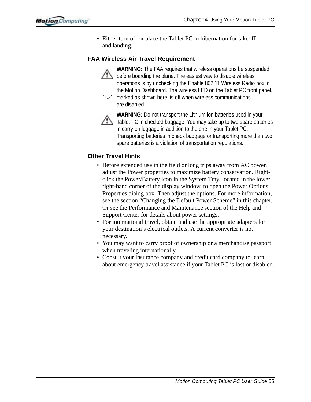• Either turn off or place the Tablet PC in hibernation for takeoff and landing.

#### **FAA Wireless Air Travel Requirement**



**WARNING:** The FAA requires that wireless operations be suspended before boarding the plane. The easiest way to disable wireless operations is by unchecking the Enable 802.11 Wireless Radio box in the Motion Dashboard. The wireless LED on the Tablet PC front panel,

marked as shown here, is off when wireless communications are disabled.



**WARNING:** Do not transport the Lithium ion batteries used in your Tablet PC in checked baggage. You may take up to two spare batteries in carry-on luggage in addition to the one in your Tablet PC. Transporting batteries in check baggage or transporting more than two spare batteries is a violation of transportation regulations.

#### **Other Travel Hints**

- Before extended use in the field or long trips away from AC power, adjust the Power properties to maximize battery conservation. Rightclick the Power/Battery icon in the System Tray, located in the lower right-hand corner of the display window, to open the Power Options Properties dialog box. Then adjust the options. For more information, see the section "Changing the Default Power Scheme" in this chapter. Or see the Performance and Maintenance section of the Help and Support Center for details about power settings.
- For international travel, obtain and use the appropriate adapters for your destination's electrical outlets. A current converter is not necessary.
- You may want to carry proof of ownership or a merchandise passport when traveling internationally.
- Consult your insurance company and credit card company to learn about emergency travel assistance if your Tablet PC is lost or disabled.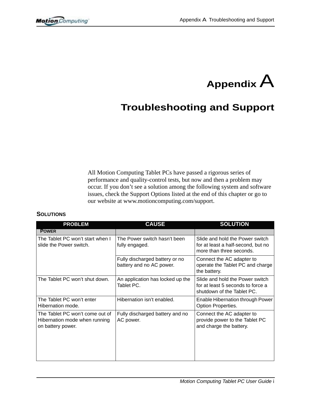

## **Troubleshooting and Support**

All Motion Computing Tablet PCs have passed a rigorous series of performance and quality-control tests, but now and then a problem may occur. If you don't see a solution among the following system and software issues, check the Support Options listed at the end of this chapter or go to our website at www.motioncomputing.com/support.

#### **SOLUTIONS**

| <b>PROBLEM</b>                                                                        | <b>CAUSE</b>                                               | <b>SOLUTION</b>                                                                                    |
|---------------------------------------------------------------------------------------|------------------------------------------------------------|----------------------------------------------------------------------------------------------------|
| <b>POWER</b>                                                                          |                                                            |                                                                                                    |
| The Tablet PC won't start when I<br>slide the Power switch.                           | The Power switch hasn't been<br>fully engaged.             | Slide and hold the Power switch<br>for at least a half-second, but no<br>more than three seconds.  |
|                                                                                       | Fully discharged battery or no<br>battery and no AC power. | Connect the AC adapter to<br>operate the Tablet PC and charge<br>the battery.                      |
| The Tablet PC won't shut down.                                                        | An application has locked up the<br>Tablet PC.             | Slide and hold the Power switch<br>for at least 5 seconds to force a<br>shutdown of the Tablet PC. |
| The Tablet PC won't enter<br>Hibernation mode.                                        | Hibernation isn't enabled.                                 | Enable Hibernation through Power<br>Option Properties.                                             |
| The Tablet PC won't come out of<br>Hibernation mode when running<br>on battery power. | Fully discharged battery and no<br>AC power.               | Connect the AC adapter to<br>provide power to the Tablet PC<br>and charge the battery.             |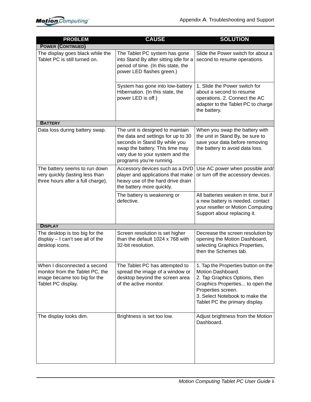| <b>PROBLEM</b>                                                                                                        | <b>CAUSE</b>                                                                                                                                                                                              | <b>SOLUTION</b>                                                                                                                                                                                                        |
|-----------------------------------------------------------------------------------------------------------------------|-----------------------------------------------------------------------------------------------------------------------------------------------------------------------------------------------------------|------------------------------------------------------------------------------------------------------------------------------------------------------------------------------------------------------------------------|
| <b>POWER (CONTINUED)</b>                                                                                              |                                                                                                                                                                                                           |                                                                                                                                                                                                                        |
| The display goes black while the<br>Tablet PC is still turned on.                                                     | The Tablet PC system has gone<br>into Stand By after sitting idle for a<br>period of time. (In this state, the<br>power LED flashes green.)                                                               | Slide the Power switch for about a<br>second to resume operations.                                                                                                                                                     |
|                                                                                                                       | System has gone into low-battery<br>Hibernation. (In this state, the<br>power LED is off.)                                                                                                                | 1, Slide the Power switch for<br>about a second to resume<br>operations. 2. Connect the AC<br>adapter to the Tablet PC to charge<br>the battery.                                                                       |
| <b>BATTERY</b>                                                                                                        |                                                                                                                                                                                                           |                                                                                                                                                                                                                        |
| Data loss during battery swap.                                                                                        | The unit is designed to maintain<br>the data and settings for up to 30<br>seconds in Stand By while you<br>swap the battery. This time may<br>vary due to your system and the<br>programs you're running. | When you swap the battery with<br>the unit in Stand By, be sure to<br>save your data before removing<br>the battery to avoid data loss.                                                                                |
| The battery seems to run down<br>very quickly (lasting less than<br>three hours after a full charge).                 | Accessory devices such as a DVD<br>player and applications that make<br>heavy use of the hard drive drain<br>the battery more quickly.                                                                    | Use AC power when possible and/<br>or turn off the accessory devices.                                                                                                                                                  |
|                                                                                                                       | The battery is weakening or<br>defective.                                                                                                                                                                 | All batteries weaken in time, but if<br>a new battery is needed, contact<br>your reseller or Motion Computing<br>Support about replacing it.                                                                           |
| <b>DISPLAY</b>                                                                                                        |                                                                                                                                                                                                           |                                                                                                                                                                                                                        |
| The desktop is too big for the<br>display - I can't see all of the<br>desktop icons.                                  | Screen resolution is set higher<br>than the default 1024 x 768 with<br>32-bit resolution.                                                                                                                 | Decrease the screen resolution by<br>opening the Motion Dashboard,<br>selecting Graphics Properties,<br>then the Schemes tab.                                                                                          |
| When I disconnected a second<br>monitor from the Tablet PC, the<br>image became too big for the<br>Tablet PC display. | The Tablet PC has attempted to<br>spread the image of a window or<br>desktop beyond the screen area<br>of the active monitor.                                                                             | 1. Tap the Properties button on the<br>Motion Dashboard.<br>2. Tap Graphics Options, then<br>Graphics Properties to open the<br>Properties screen.<br>3. Select Notebook to make the<br>Tablet PC the primary display. |
| The display looks dim.                                                                                                | Brightness is set too low.                                                                                                                                                                                | Adjust brightness from the Motion<br>Dashboard.                                                                                                                                                                        |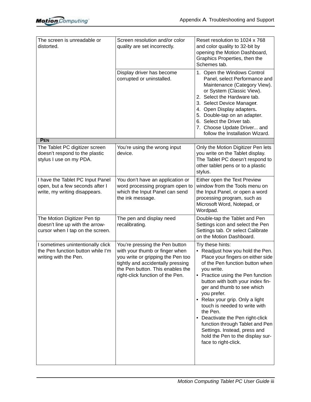| The screen is unreadable or<br>distorted.                                                            | Screen resolution and/or color<br>quality are set incorrectly.                                                                                                                                                     | Reset resolution to 1024 x 768<br>and color quality to 32-bit by<br>opening the Motion Dashboard,<br>Graphics Properties, then the<br>Schemes tab.                                                                                                                                                                                                                                                                                                                                                                  |
|------------------------------------------------------------------------------------------------------|--------------------------------------------------------------------------------------------------------------------------------------------------------------------------------------------------------------------|---------------------------------------------------------------------------------------------------------------------------------------------------------------------------------------------------------------------------------------------------------------------------------------------------------------------------------------------------------------------------------------------------------------------------------------------------------------------------------------------------------------------|
|                                                                                                      | Display driver has become<br>corrupted or uninstalled.                                                                                                                                                             | 1. Open the Windows Control<br>Panel, select Performance and<br>Maintenance (Category View).<br>or System (Classic View).<br>2. Select the Hardware tab.<br>3. Select Device Manager.<br>4. Open Display adapters.<br>5. Double-tap on an adapter.<br>6. Select the Driver tab.<br>7. Choose Update Driver and<br>follow the Installation Wizard.                                                                                                                                                                   |
| <b>PEN</b>                                                                                           |                                                                                                                                                                                                                    |                                                                                                                                                                                                                                                                                                                                                                                                                                                                                                                     |
| The Tablet PC digitizer screen<br>doesn't respond to the plastic<br>stylus I use on my PDA.          | You're using the wrong input<br>device.                                                                                                                                                                            | Only the Motion Digitizer Pen lets<br>you write on the Tablet display.<br>The Tablet PC doesn't respond to<br>other tablet pens or to a plastic<br>stylus.                                                                                                                                                                                                                                                                                                                                                          |
| I have the Tablet PC Input Panel<br>open, but a few seconds after I<br>write, my writing disappears. | You don't have an application or<br>word processing program open to<br>which the Input Panel can send<br>the ink message.                                                                                          | Either open the Text Preview<br>window from the Tools menu on<br>the Input Panel, or open a word<br>processing program, such as<br>Microsoft Word, Notepad, or<br>Wordpad.                                                                                                                                                                                                                                                                                                                                          |
| The Motion Digitizer Pen tip<br>doesn't line up with the arrow-<br>cursor when I tap on the screen.  | The pen and display need<br>recalibrating.                                                                                                                                                                         | Double-tap the Tablet and Pen<br>Settings icon and select the Pen<br>Settings tab. Or select Calibrate<br>on the Motion Dashboard.                                                                                                                                                                                                                                                                                                                                                                                  |
| I sometimes unintentionally click<br>the Pen function button while I'm<br>writing with the Pen.      | You're pressing the Pen button<br>with your thumb or finger when<br>you write or gripping the Pen too<br>tightly and accidentally pressing<br>the Pen button. This enables the<br>right-click function of the Pen. | Try these hints:<br>• Readjust how you hold the Pen.<br>Place your fingers on either side<br>of the Pen function button when<br>you write.<br>• Practice using the Pen function<br>button with both your index fin-<br>ger and thumb to see which<br>you prefer.<br>• Relax your grip. Only a light<br>touch is needed to write with<br>the Pen.<br>• Deactivate the Pen right-click<br>function through Tablet and Pen<br>Settings. Instead, press and<br>hold the Pen to the display sur-<br>face to right-click. |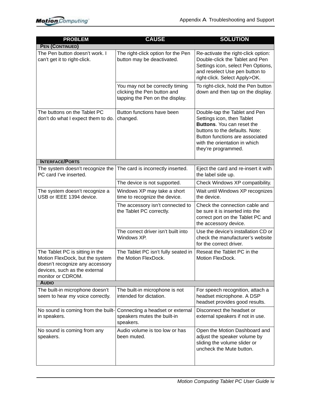| <b>PROBLEM</b>                                                                                                                                              | <b>CAUSE</b>                                                                                      | <b>SOLUTION</b>                                                                                                                                                                                                               |  |
|-------------------------------------------------------------------------------------------------------------------------------------------------------------|---------------------------------------------------------------------------------------------------|-------------------------------------------------------------------------------------------------------------------------------------------------------------------------------------------------------------------------------|--|
| <b>PEN (CONTINUED)</b>                                                                                                                                      |                                                                                                   |                                                                                                                                                                                                                               |  |
| The Pen button doesn't work. I<br>can't get it to right-click.                                                                                              | The right-click option for the Pen<br>button may be deactivated.                                  | Re-activate the right-click option:<br>Double-click the Tablet and Pen<br>Settings icon, select Pen Options,<br>and reselect Use pen button to<br>right-click. Select Apply>OK.                                               |  |
|                                                                                                                                                             | You may not be correctly timing<br>clicking the Pen button and<br>tapping the Pen on the display. | To right-click, hold the Pen button<br>down and then tap on the display.                                                                                                                                                      |  |
| The buttons on the Tablet PC<br>don't do what I expect them to do.                                                                                          | Button functions have been<br>changed.                                                            | Double-tap the Tablet and Pen<br>Settings icon, then Tablet<br><b>Buttons.</b> You can reset the<br>buttons to the defaults. Note:<br>Button functions are associated<br>with the orientation in which<br>they're programmed. |  |
| <b>INTERFACE/PORTS</b>                                                                                                                                      |                                                                                                   |                                                                                                                                                                                                                               |  |
| The system doesn't recognize the<br>PC card I've inserted.                                                                                                  | The card is incorrectly inserted.                                                                 | Eject the card and re-insert it with<br>the label side up.                                                                                                                                                                    |  |
|                                                                                                                                                             | The device is not supported.                                                                      | Check Windows XP compatibility.                                                                                                                                                                                               |  |
| The system doesn't recognize a<br>USB or IEEE 1394 device.                                                                                                  | Windows XP may take a short<br>time to recognize the device.                                      | Wait until Windows XP recognizes<br>the device.                                                                                                                                                                               |  |
|                                                                                                                                                             | The accessory isn't connected to<br>the Tablet PC correctly.                                      | Check the connection cable and<br>be sure it is inserted into the<br>correct port on the Tablet PC and<br>the accessory device.                                                                                               |  |
|                                                                                                                                                             | The correct driver isn't built into<br>Windows XP.                                                | Use the device's installation CD or<br>check the manufacturer's website<br>for the correct driver.                                                                                                                            |  |
| The Tablet PC is sitting in the<br>Motion FlexDock, but the system<br>doesn't recognize any accessory<br>devices, such as the external<br>monitor or CDROM. | The Tablet PC isn't fully seated in<br>the Motion FlexDock.                                       | Reseat the Tablet PC in the<br>Motion FlexDock.                                                                                                                                                                               |  |
| <b>AUDIO</b>                                                                                                                                                |                                                                                                   |                                                                                                                                                                                                                               |  |
| The built-in microphone doesn't<br>seem to hear my voice correctly.                                                                                         | The built-in microphone is not<br>intended for dictation.                                         | For speech recognition, attach a<br>headset microphone. A DSP<br>headset provides good results.                                                                                                                               |  |
| No sound is coming from the built-<br>in speakers.                                                                                                          | Connecting a headset or external<br>speakers mutes the built-in<br>speakers.                      | Disconnect the headset or<br>external speakers if not in use.                                                                                                                                                                 |  |
| No sound is coming from any<br>speakers.                                                                                                                    | Audio volume is too low or has<br>been muted.                                                     | Open the Motion Dashboard and<br>adjust the speaker volume by<br>sliding the volume slider or<br>uncheck the Mute button.                                                                                                     |  |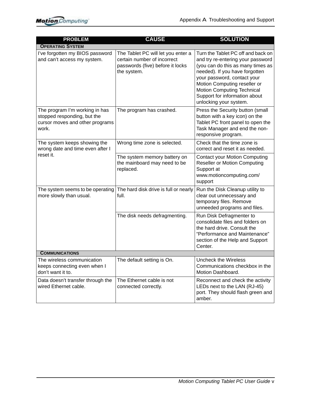| <b>PROBLEM</b>                                                                                            | <b>CAUSE</b>                                                                                                         | <b>SOLUTION</b>                                                                                                                                                                                                                                                                                               |
|-----------------------------------------------------------------------------------------------------------|----------------------------------------------------------------------------------------------------------------------|---------------------------------------------------------------------------------------------------------------------------------------------------------------------------------------------------------------------------------------------------------------------------------------------------------------|
| <b>OPERATING SYSTEM</b>                                                                                   |                                                                                                                      |                                                                                                                                                                                                                                                                                                               |
| I've forgotten my BIOS password<br>and can't access my system.                                            | The Tablet PC will let you enter a<br>certain number of incorrect<br>passwords (five) before it locks<br>the system. | Turn the Tablet PC off and back on<br>and try re-entering your password<br>(you can do this as many times as<br>needed). If you have forgotten<br>your password, contact your<br>Motion Computing reseller or<br><b>Motion Computing Technical</b><br>Support for information about<br>unlocking your system. |
| The program I'm working in has<br>stopped responding, but the<br>cursor moves and other programs<br>work. | The program has crashed.                                                                                             | Press the Security button (small<br>button with a key icon) on the<br>Tablet PC front panel to open the<br>Task Manager and end the non-<br>responsive program.                                                                                                                                               |
| The system keeps showing the<br>wrong date and time even after I                                          | Wrong time zone is selected.                                                                                         | Check that the time zone is<br>correct and reset it as needed.                                                                                                                                                                                                                                                |
| reset it.                                                                                                 | The system memory battery on<br>the mainboard may need to be<br>replaced.                                            | <b>Contact your Motion Computing</b><br><b>Reseller or Motion Computing</b><br>Support at<br>www.motioncomputing.com/<br>support                                                                                                                                                                              |
| The system seems to be operating<br>more slowly than usual.                                               | The hard disk drive is full or nearly<br>full.                                                                       | Run the Disk Cleanup utility to<br>clear out unnecessary and<br>temporary files. Remove<br>unneeded programs and files.                                                                                                                                                                                       |
|                                                                                                           | The disk needs defragmenting.                                                                                        | Run Disk Defragmenter to<br>consolidate files and folders on<br>the hard drive. Consult the<br>"Performance and Maintenance"<br>section of the Help and Support<br>Center.                                                                                                                                    |
| <b>COMMUNICATIONS</b>                                                                                     |                                                                                                                      |                                                                                                                                                                                                                                                                                                               |
| The wireless communication<br>keeps connecting even when I<br>don't want it to.                           | The default setting is On.                                                                                           | Uncheck the Wireless<br>Communications checkbox in the<br>Motion Dashboard.                                                                                                                                                                                                                                   |
| Data doesn't transfer through the<br>wired Ethernet cable.                                                | The Ethernet cable is not<br>connected correctly.                                                                    | Reconnect and check the activity<br>LEDs next to the LAN (RJ-45)<br>port. They should flash green and<br>amber.                                                                                                                                                                                               |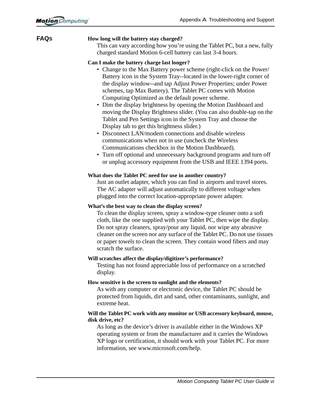#### **FAQS How long will the battery stay charged?**

This can vary according how you're using the Tablet PC, but a new, fully charged standard Motion 6-cell battery can last 3-4 hours.

#### **Can I make the battery charge last longer?**

- Change to the Max Battery power scheme (right-click on the Power/ Battery icon in the System Tray--located in the lower-right corner of the display window--and tap Adjust Power Properties; under Power schemes, tap Max Battery). The Tablet PC comes with Motion Computing Optimized as the default power scheme.
- Dim the display brightness by opening the Motion Dashboard and moving the Display Brightness slider. (You can also double-tap on the Tablet and Pen Settings icon in the System Tray and choose the Display tab to get this brightness slider.)
- Disconnect LAN/modem connections and disable wireless communications when not in use (uncheck the Wireless Communications checkbox in the Motion Dashboard).
- Turn off optional and unnecessary background programs and turn off or unplug accessory equipment from the USB and IEEE 1394 ports.

#### **What does the Tablet PC need for use in another country?**

Just an outlet adapter, which you can find in airports and travel stores. The AC adapter will adjust automatically to different voltage when plugged into the correct location-appropriate power adapter.

#### **What's the best way to clean the display screen?**

To clean the display screen, spray a window-type cleaner onto a soft cloth, like the one supplied with your Tablet PC, then wipe the display. Do not spray cleaners, spray/pour any liquid, nor wipe any abrasive cleaner on the screen nor any surface of the Tablet PC. Do not use tissues or paper towels to clean the screen. They contain wood fibers and may scratch the surface.

#### **Will scratches affect the display/digitizer's performance?**

Testing has not found appreciable loss of performance on a scratched display.

#### **How sensitive is the screen to sunlight and the elements?**

As with any computer or electronic device, the Tablet PC should be protected from liquids, dirt and sand, other contaminants, sunlight, and extreme heat.

#### **Will the Tablet PC work with any monitor or USB accessory keyboard, mouse, disk drive, etc?**

As long as the device's driver is available either in the Windows XP operating system or from the manufacturer and it carries the Windows XP logo or certification, it should work with your Tablet PC. For more information, see www.microsoft.com/help.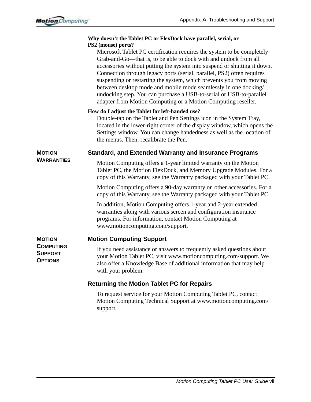|                                                      | Why doesn't the Tablet PC or FlexDock have parallel, serial, or<br>PS2 (mouse) ports?                                                                                                                                                                                                                                                                                                                                                                                                                                                                                              |
|------------------------------------------------------|------------------------------------------------------------------------------------------------------------------------------------------------------------------------------------------------------------------------------------------------------------------------------------------------------------------------------------------------------------------------------------------------------------------------------------------------------------------------------------------------------------------------------------------------------------------------------------|
|                                                      | Microsoft Tablet PC certification requires the system to be completely<br>Grab-and-Go-that is, to be able to dock with and undock from all<br>accessories without putting the system into suspend or shutting it down.<br>Connection through legacy ports (serial, parallel, PS2) often requires<br>suspending or restarting the system, which prevents you from moving<br>between desktop mode and mobile mode seamlessly in one docking/<br>undocking step. You can purchase a USB-to-serial or USB-to-parallel<br>adapter from Motion Computing or a Motion Computing reseller. |
|                                                      | How do I adjust the Tablet for left-handed use?<br>Double-tap on the Tablet and Pen Settings icon in the System Tray,<br>located in the lower-right corner of the display window, which opens the<br>Settings window. You can change handedness as well as the location of<br>the menus. Then, recalibrate the Pen.                                                                                                                                                                                                                                                                |
| <b>MOTION</b>                                        | <b>Standard, and Extended Warranty and Insurance Programs</b>                                                                                                                                                                                                                                                                                                                                                                                                                                                                                                                      |
| <b>WARRANTIES</b>                                    | Motion Computing offers a 1-year limited warranty on the Motion<br>Tablet PC, the Motion FlexDock, and Memory Upgrade Modules. For a<br>copy of this Warranty, see the Warranty packaged with your Tablet PC.                                                                                                                                                                                                                                                                                                                                                                      |
|                                                      | Motion Computing offers a 90-day warranty on other accessories. For a<br>copy of this Warranty, see the Warranty packaged with your Tablet PC.                                                                                                                                                                                                                                                                                                                                                                                                                                     |
|                                                      | In addition, Motion Computing offers 1-year and 2-year extended<br>warranties along with various screen and configuration insurance<br>programs. For information, contact Motion Computing at<br>www.motioncomputing.com/support.                                                                                                                                                                                                                                                                                                                                                  |
| <b>MOTION</b>                                        | <b>Motion Computing Support</b>                                                                                                                                                                                                                                                                                                                                                                                                                                                                                                                                                    |
| <b>COMPUTING</b><br><b>SUPPORT</b><br><b>OPTIONS</b> | If you need assistance or answers to frequently asked questions about<br>your Motion Tablet PC, visit www.motioncomputing.com/support. We<br>also offer a Knowledge Base of additional information that may help<br>with your problem.                                                                                                                                                                                                                                                                                                                                             |
|                                                      | <b>Returning the Motion Tablet PC for Repairs</b>                                                                                                                                                                                                                                                                                                                                                                                                                                                                                                                                  |
|                                                      | To request service for your Motion Computing Tablet PC, contact<br>Motion Computing Technical Support at www.motioncomputing.com/<br>support.                                                                                                                                                                                                                                                                                                                                                                                                                                      |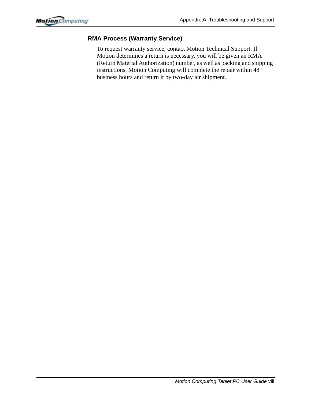#### **RMA Process (Warranty Service)**

To request warranty service, contact Motion Technical Support. If Motion determines a return is necessary, you will be given an RMA (Return Material Authorization) number, as well as packing and shipping instructions. Motion Computing will complete the repair within 48 business hours and return it by two-day air shipment.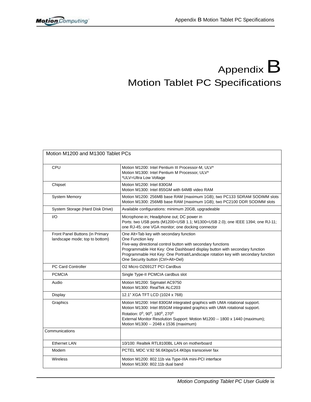# Appendix  $B$ Motion Tablet PC Specifications

| Motion M1200 and M1300 Tablet PCs                                 |                                                                                                                                                                                                                                                                                                                                      |
|-------------------------------------------------------------------|--------------------------------------------------------------------------------------------------------------------------------------------------------------------------------------------------------------------------------------------------------------------------------------------------------------------------------------|
| CPU                                                               | Motion M1200: Intel Pentium III Processor-M, ULV*<br>Motion M1300: Intel Pentium M Processor, ULV*<br>*ULV=Ultra Low Voltage                                                                                                                                                                                                         |
| Chipset                                                           | Motion M1200: Intel 830GM<br>Motion M1300: Intel 855GM with 64MB video RAM                                                                                                                                                                                                                                                           |
| <b>System Memory</b>                                              | Motion M1200: 256MB base RAM (maximum 1GB); two PC133 SDRAM SODIMM slots<br>Motion M1300: 256MB base RAM (maximum 1GB); two PC2100 DDR SODIMM slots                                                                                                                                                                                  |
| System Storage (Hard Disk Drive)                                  | Available configurations: minimum 20GB, upgradeable                                                                                                                                                                                                                                                                                  |
| 1/O                                                               | Microphone-in; Headphone out; DC power in<br>Ports: two USB ports (M1200=USB 1.1; M1300=USB 2.0); one IEEE 1394; one RJ-11;<br>one RJ-45; one VGA monitor; one docking connector                                                                                                                                                     |
| Front Panel Buttons (in Primary<br>landscape mode; top to bottom) | One Alt+Tab key with secondary function<br>One Function key<br>Five-way directional control button with secondary functions<br>Programmable Hot Key: One Dashboard display button with secondary function<br>Programmable Hot Key: One Portrait/Landscape rotation key with secondary function<br>One Security button (Ctrl+Alt+Del) |
| <b>PC Card Controller</b>                                         | O <sub>2</sub> Micro OZ6912T PCI Cardbus                                                                                                                                                                                                                                                                                             |
| <b>PCMCIA</b>                                                     | Single Type-II PCMCIA cardbus slot                                                                                                                                                                                                                                                                                                   |
| Audio                                                             | Motion M1200: Sigmatel AC9750<br>Motion M1300: RealTek ALC203                                                                                                                                                                                                                                                                        |
| Display                                                           | 12.1" XGA TFT LCD (1024 x 768)                                                                                                                                                                                                                                                                                                       |
| Graphics                                                          | Motion M1200: Intel 830GM integrated graphics with UMA rotational support.<br>Motion M1300: Intel 855GM integrated graphics with UMA rotational support.<br>Rotation: 0°, 90°, 180°, 270°<br>External Monitor Resolution Support: Motion M1200 -- 1800 x 1440 (maximum);<br>Motion M1300 -- 2048 x 1536 (maximum)                    |
| Communications                                                    |                                                                                                                                                                                                                                                                                                                                      |
| <b>Ethernet LAN</b>                                               | 10/100: Realtek RTL8100BL LAN on motherboard                                                                                                                                                                                                                                                                                         |
| Modem                                                             | PCTEL MDC V.92 56.6Kbps/14.4Kbps transceiver fax                                                                                                                                                                                                                                                                                     |
| Wireless                                                          | Motion M1200: 802.11b via Type-IIIA mini-PCI interface<br>Motion M1300: 802.11b dual band                                                                                                                                                                                                                                            |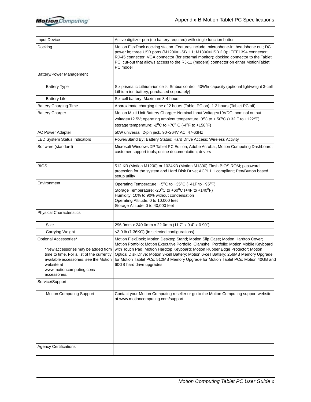| Input Device                                                                                                                                                                                                | Active digitizer pen (no battery required) with single function button                                                                                                                                                                                                                                                                                                                                                                                                    |
|-------------------------------------------------------------------------------------------------------------------------------------------------------------------------------------------------------------|---------------------------------------------------------------------------------------------------------------------------------------------------------------------------------------------------------------------------------------------------------------------------------------------------------------------------------------------------------------------------------------------------------------------------------------------------------------------------|
| Docking                                                                                                                                                                                                     | Motion FlexDock docking station. Features include: microphone-in; headphone out; DC<br>power in; three USB ports (M1200=USB 1.1; M1300=USB 2.0); IEEE1394 connector;<br>RJ-45 connector; VGA connector (for external monitor); docking connector to the Tablet<br>PC; cut-out that allows access to the RJ-11 (modem) connector on either MotionTablet<br>PC model                                                                                                        |
| Battery/Power Management                                                                                                                                                                                    |                                                                                                                                                                                                                                                                                                                                                                                                                                                                           |
| <b>Battery Type</b>                                                                                                                                                                                         | Six prismatic Lithium-ion cells; Smbus control; 40Whr capacity (optional lightweight 3-cell<br>Lithium-ion battery, purchased separately)                                                                                                                                                                                                                                                                                                                                 |
| <b>Battery Life</b>                                                                                                                                                                                         | Six-cell battery: Maximum 3-4 hours                                                                                                                                                                                                                                                                                                                                                                                                                                       |
| <b>Battery Charging Time</b>                                                                                                                                                                                | Approximate charging time of 2 hours (Tablet PC on); 1.2 hours (Tablet PC off)                                                                                                                                                                                                                                                                                                                                                                                            |
| <b>Battery Charger</b>                                                                                                                                                                                      | Motion Multi-Unit Battery Charger: Nominal Input Voltage=19VDC; nominal output<br>voltage=12.5V; operating ambient temperature: $0^{\circ}$ C to + 50°C (+32 F to +122°F);<br>storage temperature: -2 <sup>o</sup> C to +70 <sup>o</sup> C (-4 <sup>o</sup> F to +158 <sup>o</sup> F)                                                                                                                                                                                     |
| <b>AC Power Adapter</b>                                                                                                                                                                                     | 50W universal, 2-pin jack, 90~264V AC, 47-63Hz                                                                                                                                                                                                                                                                                                                                                                                                                            |
| <b>LED System Status Indicators</b>                                                                                                                                                                         | Power/Stand By; Battery Status; Hard Drive Access; Wireless Activity                                                                                                                                                                                                                                                                                                                                                                                                      |
| Software (standard)                                                                                                                                                                                         | Microsoft Windows XP Tablet PC Edition; Adobe Acrobat; Motion Computing Dashboard;<br>customer support tools; online documentation; drivers                                                                                                                                                                                                                                                                                                                               |
| <b>BIOS</b>                                                                                                                                                                                                 | 512 KB (Motion M1200) or 1024KB (Motion M1300) Flash BIOS ROM; password<br>protection for the system and Hard Disk Drive; ACPI 1.1 compliant; Pen/Button based<br>setup utility                                                                                                                                                                                                                                                                                           |
| Environment                                                                                                                                                                                                 | Operating Temperature: +5°C to +35°C (+41F to +95°F)<br>Storage Temperature: -20°C to +60°C (+4F to +140°F)<br>Humidity: 10% to 90% without condensation<br>Operating Altitude: 0 to 10,000 feet<br>Storage Altitude: 0 to 40,000 feet                                                                                                                                                                                                                                    |
| <b>Physical Characteristics</b>                                                                                                                                                                             |                                                                                                                                                                                                                                                                                                                                                                                                                                                                           |
| Size                                                                                                                                                                                                        | 296.0mm x 240.0mm x 22.0mm (11.7" x 9.4" x 0.90")                                                                                                                                                                                                                                                                                                                                                                                                                         |
| <b>Carrying Weight</b>                                                                                                                                                                                      | <3.0 lb (1.36KG) (in selected configurations)                                                                                                                                                                                                                                                                                                                                                                                                                             |
| Optional Accessories*<br>*New accessories may be added from<br>time to time. For a list of the currently<br>available accessories, see the Motion<br>website at<br>www.motioncomputing.com/<br>accessories. | Motion FlexDock; Motion Desktop Stand; Motion Slip Case; Motion Hardtop Cover;<br>Motion Portfolio; Motion Executive Portfolio; Clamshell Portfolio; Motion Mobile Keyboard<br>with Touch Pad; Motion Hardtop Keyboard; Motion Rubber Edge Protector; Motion<br>Optical Disk Drive; Motion 3-cell Battery; Motion 6-cell Battery; 256MB Memory Upgrade<br>for Motion Tablet PCs; 512MB Memory Upgrade for Motion Tablet PCs; Motion 40GB and<br>60GB hard drive upgrades. |
| Service/Support                                                                                                                                                                                             |                                                                                                                                                                                                                                                                                                                                                                                                                                                                           |
| <b>Motion Computing Support</b>                                                                                                                                                                             | Contact your Motion Computing reseller or go to the Motion Computing support website<br>at www.motioncomputing.com/support.                                                                                                                                                                                                                                                                                                                                               |
| <b>Agency Certifications</b>                                                                                                                                                                                |                                                                                                                                                                                                                                                                                                                                                                                                                                                                           |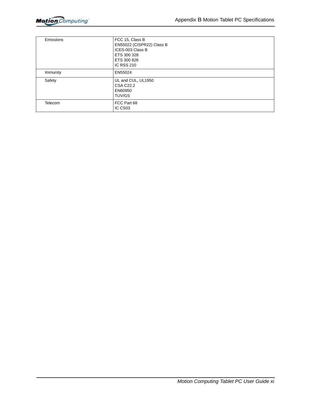| Emissions      | FCC 15, Class B<br>EN55022 (CISPR22) Class B<br>ICES-003 Class B<br>ETS 300 328<br>ETS 300 826<br><b>IC RSS 210</b> |
|----------------|---------------------------------------------------------------------------------------------------------------------|
| Immunity       | EN55024                                                                                                             |
| Safety         | UL and CUL, UL1950<br><b>CSA C22.2</b><br>EN60950<br>TUV/GS                                                         |
| <b>Telecom</b> | FCC Part 68<br>IC CS <sub>03</sub>                                                                                  |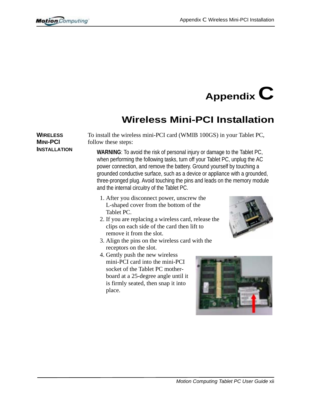**WIRELESS MINI-PCI INSTALLATION**

# **Appendix C**

### **Wireless Mini-PCI Installation**

To install the wireless mini-PCI card (WMIB 100GS) in your Tablet PC, follow these steps:

**WARNING**: To avoid the risk of personal injury or damage to the Tablet PC, when performing the following tasks, turn off your Tablet PC, unplug the AC power connection, and remove the battery. Ground yourself by touching a grounded conductive surface, such as a device or appliance with a grounded, three-pronged plug. Avoid touching the pins and leads on the memory module and the internal circuitry of the Tablet PC.

- 1. After you disconnect power, unscrew the L-shaped cover from the bottom of the Tablet PC.
- 2. If you are replacing a wireless card, release the clips on each side of the card then lift to remove it from the slot.
- 3. Align the pins on the wireless card with the receptors on the slot.
- 4. Gently push the new wireless mini-PCI card into the mini-PCI socket of the Tablet PC motherboard at a 25-degree angle until it is firmly seated, then snap it into place.



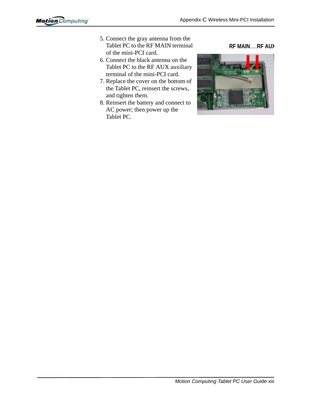- 5. Connect the gray antenna from the Tablet PC to the RF MAIN terminal of the mini-PCI card.
- 6. Connect the black antenna on the Tablet PC to the RF AUX auxiliary terminal of the mini-PCI card.
- 7. Replace the cover on the bottom of the Tablet PC, reinsert the screws, and tighten them.
- 8. Reinsert the battery and connect to AC power; then power up the Tablet PC.



**RF MAIN**.....**RF AUX**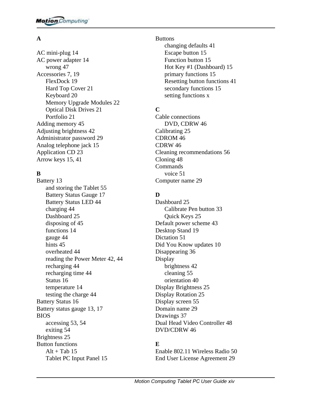#### **A**

[AC mini-plug 14](#page-16-0) [AC power adapter 14](#page-16-1) wrong 47 Accessories 7, [19](#page-21-0) [FlexDock 19](#page-21-1) [Hard Top Cover 21](#page-23-0) Keyboard 20 [Memory Upgrade Modules 22](#page-23-1) Optical Disk Drives 21 [Portfolio 21](#page-23-2) Adding memory 45 [Adjusting brightness 42](#page-42-0) [Administrator password 29](#page-31-0) [Analog telephone jack 15](#page-17-0) Application CD 23 [Arrow keys 15,](#page-17-1) [41](#page-42-1)

#### **B**

Battery 13 [and storing the Tablet 55](#page-55-0) [Battery Status Gauge 17](#page-19-0) Battery Status LED 44 charging 44 Dashboard 25 [disposing of 45](#page-46-0) [functions 14](#page-16-2) gauge 44 [hints 45](#page-46-1) overheated 44 reading the Power Meter 42, 44 recharging 44 recharging time 44 [Status 16](#page-18-0) [temperature 14](#page-16-3) testing the charge 44 [Battery Status 16](#page-18-1) Battery status gauge 13, [17](#page-19-1) BIOS [accessing 53,](#page-53-0) [54](#page-54-0) [exiting 54](#page-53-1) Brightness 25 Button functions  $Alt + Tab 15$ [Tablet PC Input Panel 15](#page-17-3)

Buttons [changing defaults 41](#page-42-2) [Escape button 15](#page-17-4) [Function button 15](#page-17-5) [Hot Key #1 \(Dashboard\) 15](#page-17-6) [primary functions 15](#page-17-7) [Resetting button functions 41](#page-42-3) [secondary functions 15](#page-17-8) setting functions x

#### **C**

Cable connections DVD, CDRW 46 Calibrating 25 CDROM 46 CDRW 46 [Cleaning recommendations 56](#page-55-1) Cloning 48 Commands [voice 51](#page-51-0) [Computer name 29](#page-31-1)

#### **D**

[Dashboard 25](#page-28-0) [Calibrate Pen button 33](#page-35-0) Quick Keys 25 [Default power scheme 43](#page-44-0) [Desktop Stand 19](#page-21-2) [Dictation 51](#page-51-1) [Did You Know updates 10](#page-12-0) [Disappearing 36](#page-38-0) Display [brightness 42](#page-42-4) [cleaning 55](#page-55-2) [orientation 40](#page-41-0) Display Brightness 25 Display Rotation 25 [Display screen 55](#page-55-3) [Domain name 29](#page-31-2) [Drawings 37](#page-38-1) Dual Head Video Controller 48 DVD/CDRW 46

#### **E**

[Enable 802.11 Wireless Radio 50](#page-50-0) [End User License Agreement 29](#page-31-3)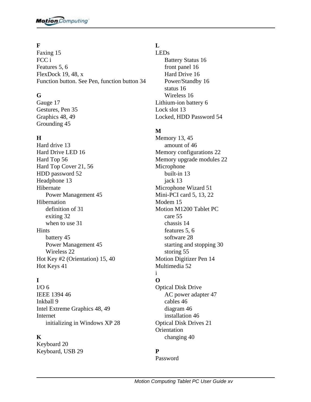### **F**

[Faxing 15](#page-17-0) FCC i [Features 5,](#page-7-0) [6](#page-7-1) [FlexDock 19,](#page-21-0) 48, x [Function button. See Pen, function button 34](#page-35-0)

## **G**

[Gauge 17](#page-19-0) Gestures, Pen 35 Graphics 48, 49 Grounding 45

## **H**

Hard drive 13 [Hard Drive LED 16](#page-18-0) [Hard Top 56](#page-55-0) [Hard Top Cover 21,](#page-23-0) [56](#page-55-0) [HDD password 52](#page-52-0) Headphone 13 Hibernate [Power Management 45](#page-46-0) **Hibernation** [definition of 31](#page-33-0) [exiting 32](#page-34-0) [when to use 31](#page-33-0) **Hints** [battery 45](#page-46-1) [Power Management 45](#page-46-2) [Wireless 22](#page-24-0) [Hot Key #2 \(Orientation\) 15,](#page-17-1) [40](#page-41-0) [Hot Keys 41](#page-42-0)

## **I**

 $I/O<sub>6</sub>$ IEEE 1394 46 [Inkball 9](#page-11-0) Intel Extreme Graphics 48, 49 Internet [initializing in Windows XP 28](#page-30-0)

#### **K**

Keyboard 20 [Keyboard, USB 29](#page-31-0)

### **L**

LEDs [Battery Status 16](#page-18-1) front panel 16 [Hard Drive 16](#page-18-0) [Power/Standby 16](#page-18-2) [status 16](#page-18-3) [Wireless 16](#page-18-4) [Lithium-ion battery 6](#page-8-1) Lock slot 13 [Locked, HDD Password 54](#page-54-0)

## **M**

Memory 13, 45 amount of 46 Memory configurations 22 [Memory upgrade modules 22](#page-23-1) Microphone built-in 13 jack 13 [Microphone Wizard 51](#page-51-0) [Mini-PCI card 5, 1](#page-7-2)3, [22](#page-24-1) [Modem 15](#page-17-2) Motion M1200 Tablet PC [care 55](#page-55-1) [chassis 14](#page-16-0) [features 5,](#page-7-3) [6](#page-7-4) software 28 [starting and stopping 30](#page-32-0) [storing 55](#page-55-2) [Motion Digitizer Pen 14](#page-16-1) [Multimedia 52](#page-52-1) i

# **O**

Optical Disk Drive AC power adapter 47 cables 46 diagram 46 installation 46 Optical Disk Drives 21 **Orientation** [changing 40](#page-41-1)

## **P**

Password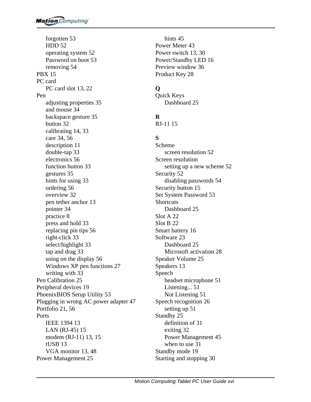[forgotten 53](#page-52-2) [HDD 52](#page-52-3) [operating system 52](#page-52-4) [Password on boot 53](#page-53-0) [removing 54](#page-54-1) [PBX 15](#page-17-3) PC card PC card slot 13, [22](#page-24-2) Pen [adjusting properties 35](#page-36-0) [and mouse 34](#page-36-1) backspace gesture 35 [button 32](#page-34-1) [calibrating 14,](#page-16-2) [33](#page-35-1) [care 34,](#page-36-2) [56](#page-56-0) [description 11](#page-13-0) [double-tap 33](#page-34-2) [electronics 56](#page-56-1) [function button 33](#page-35-2) gestures 35 hints for using 33 [ordering 56](#page-56-2) [overview 32](#page-34-3) pen tether anchor 13 [pointer 34](#page-35-3) [practice 8](#page-10-0) [press and hold 33](#page-34-4) [replacing pin tips 56](#page-56-3) [right-click 33](#page-34-5) [select/highlight 33](#page-34-6) [tap and drag 33](#page-34-7) [using on the display 56](#page-55-3) Windows XP pen functions 27 [writing with 33](#page-35-4) Pen Calibration 25 [Peripheral devices 19](#page-21-1) [PhoenixBIOS Setup Utility 53](#page-53-1) Plugging in wrong AC power adapter 47 [Portfolio 21,](#page-23-2) [56](#page-55-4) Ports IEEE 1394 13 [LAN \(RJ-45\) 15](#page-17-4) modem (RJ-11) 13, [15](#page-17-4) tUSB 13 VGA monitor 13, 48 Power Management 25

[hints 45](#page-46-2) [Power Meter 43](#page-43-0) Power switch 13, 30 [Power/Standby LED 16](#page-18-2) Preview window 36 [Product Key 28](#page-30-1)

# **Q**

Quick Keys Dashboard 25

# **R**

[RJ-11 15](#page-17-5)

## **S**

Scheme [screen resolution 52](#page-51-1) Screen resolution [setting up a new scheme 52](#page-51-1) [Security 52](#page-52-5) [disabling passwords 54](#page-54-2) [Security button 15](#page-17-6) [Set System Password 53](#page-53-2) **Shortcuts** Dashboard 25 Slot A 22 Slot B 22 [Smart battery 16](#page-18-5) [Software 23](#page-25-0) [Dashboard 25](#page-28-0) [Microsoft activation 28](#page-30-2) Speaker Volume 25 Speakers 13 Speech [headset microphone 51](#page-51-2) [Listening... 51](#page-51-3) [Not Listening 51](#page-51-4) [Speech recognition 26](#page-29-0) [setting up 51](#page-51-5) Standby 25 [definition of 31](#page-33-1) [exiting 32](#page-34-8) [Power Management 45](#page-46-3) [when to use 31](#page-33-1) [Standby mode 19](#page-21-2) [Starting and stopping 30](#page-32-1)